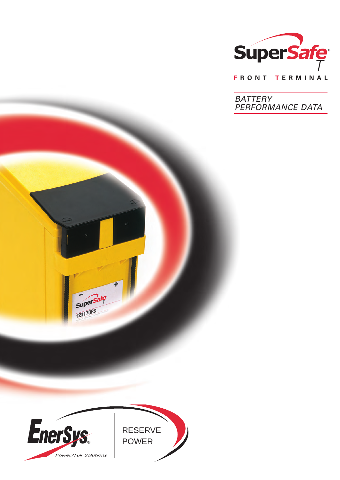

**F R O N T T E R M I N A L**

**BATTERY** PERFORMANCE DATA



superSafe

**SUPC.**<br>12T170FS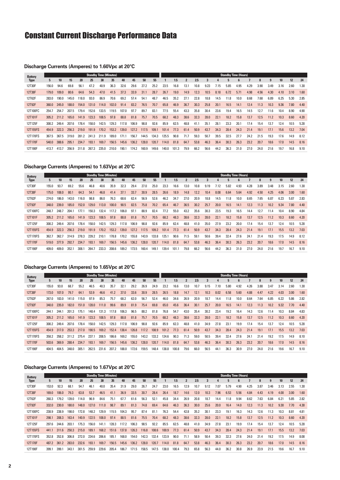# Constant Current Discharge Performance Data

#### **Discharge Currents (Amperes) to 1.60Vpc at 20°C**

| 5.    | 10    | 15    | 20    | 25    | 30    | 35    | 40                            | 45    | 50    | 55    |       | 1.5   | $\overline{2}$ | 2.5  | 3    |      | 5    | ն    |      | 8                           | 9    | 10 <sup>10</sup> | 12   | 24   |
|-------|-------|-------|-------|-------|-------|-------|-------------------------------|-------|-------|-------|-------|-------|----------------|------|------|------|------|------|------|-----------------------------|------|------------------|------|------|
| 156.0 | 94.6  | 69.8  | 56.1  | 47.2  | 40.9  | 36.3  | 32.6                          | 29.6  | 27.2  | 25.2  | 23.5  | 16.8  | 13.1           | 10.8 | 9.23 | 7.15 | 5.85 | 4.95 | 4.29 | 3.90                        | 3.49 | 3.16             | 2.60 | 1.30 |
| 179.0 | 109.0 | 80.6  | 64.6  | 54.3  | 47.0  | 41.5  | 37.3                          | 33.9  | 31.1  | 28.7  | 26.7  | 19.0  | 14.9           | 12.3 | 10.5 | 8.18 | 6.72 | 5.71 | 4.98 | 4.56                        | 4.30 | 4.10             | 3.10 | 1.60 |
| 283.0 | 190.0 | 145.0 | 118.0 | 93.0  | 86.9  | 70.6  | 69.2                          | 57.4  | 54.1  | 48.7  | 46.5  | 35.2  | 27.1           | 22.8 | 18.8 | 14.5 | 11.8 | 10.0 | 8.68 | 7.68                        | 6.89 | 6.25             | 5.30 | 2.85 |
| 360.0 | 245.0 | 188.0 | 154.0 | 131.0 | 114.0 | 102.0 | 91.4                          | 83.2  | 76.5  | 70.7  | 65.8  | 46.9  | 36.7           | 30.3 | 25.8 | 20.1 | 16.5 | 14.1 | 12.4 | 11.3                        | 10.3 | 9.36             | 7.80 | 4.40 |
| 254.7 | 254.7 | 207.5 | 179.4 | 152.6 | 133.5 | 119.5 | 107.0                         | 97.7  | 89.7  | 83.1  | 77.5  | 55.4  | 43.3           | 35.8 | 30.4 | 23.6 | 19.4 | 16.5 | 14.5 | 12.7                        | 11.6 | 10.4             | 8.90 | 4.90 |
| 305.2 | 211.2 | 165.0 | 141.9 | 123.3 | 108.5 | 97.8  | 88.8                          | 81.8  | 75.7  | 70.5  | 68.2  | 48.3  | 38.6           | 32.3 | 28.0 | 22.1 | 18.2 | 15.8 | 13.7 | 12.5                        | 11.2 | 10.3             | 8.60 | 4.20 |
| 300.2 | 249.4 | 207.6 | 178.4 | 158.0 | 142.5 | 129.3 | 117.8                         | 106.9 | 98.8  | 92.6  | 85.9  | 62.5  | 48.8           | 41.1 | 35.1 | 28.1 | 23.3 | 20.1 | 17.4 | 15.4                        | 13.7 | 12.4             | 10.5 | 5.28 |
| 454.9 | 322.3 | 256.3 | 219.0 | 191.9 | 170.2 | 153.2 | 139.0                         | 127.2 | 117.5 | 109.1 | 101.4 | 77.3  | 61.4           | 50.9 | 43.7 | 34.3 | 28.4 | 24.3 | 21.4 | 19.1                        | 17.1 | 15.6             | 13.2 | 7.04 |
| 367.5 | 367.5 | 319.0 | 281.2 | 241.3 | 211.9 | 189.0 | 171.1                         | 156.7 | 144.5 | 134.3 | 125.5 | 90.8  | 71.7           | 59.3 | 50.7 | 39.5 | 32.5 | 27.7 | 24.2 | 21.5                        | 19.3 | 17.6             | 14.9 | 8.12 |
| 540.0 | 388.6 | 295.1 | 234.7 | 193.1 | 169.7 | 156.5 | 145.6                         | 136.2 | 128.0 | 120.7 | 114.0 | 81.8  | 64.7           | 53.8 | 46.3 | 36.4 | 30.3 | 26.3 | 23.2 | 20.7                        | 18.6 | 17.0             | 14.5 | 8.16 |
| 413.7 | 413.7 | 356.9 | 311.8 | 267.3 | 235.0 | 210.0 | 190.                          | 174.2 | 160.9 | 149.6 | 140.0 | 101.3 | 79.9           | 66.2 | 56.6 | 44.2 | 36.3 | 31.0 | 27.0 | 24.0                        | 21.6 | 19.7             | 16.8 | 9.10 |
|       |       |       |       |       |       |       | <b>Standby Time (Minutes)</b> |       |       |       |       |       |                |      |      |      |      |      |      | <b>Standby Time (Hours)</b> |      |                  |      |      |

#### **Discharge Currents (Amperes) to 1.63Vpc at 20°C**

| <b>Battery</b> |       |       |       |       | <b>Standby Time (Minutes)</b> |                 |       |       |       |       |       |       |      |                |      |      |      |      | <b>Standby Time (Hours)</b> |      |      |              |                  |      |      |
|----------------|-------|-------|-------|-------|-------------------------------|-----------------|-------|-------|-------|-------|-------|-------|------|----------------|------|------|------|------|-----------------------------|------|------|--------------|------------------|------|------|
| <b>Type</b>    | 5     | 10    | 15    | 20    | 25                            | 30 <sup>2</sup> | 35    | 40    | 45    | 50    | 55    |       | 1.5  | $\overline{2}$ | 2.5  | 3    |      |      |                             |      | 8    | $\mathbf{q}$ | 10 <sup>10</sup> | 12   | 24   |
| 12T30F         | 155.0 | 93.7  | 69.2  | 55.6  | 46.8                          | 40.6            | 35.9  | 32.3  | 29.4  | 27.0  | 25.0  | 23.3  | 16.6 | 13.0           | 10.8 | 9.19 | 7.12 | 5.82 | 4.93                        | 4.28 | 3.89 | 3.48         | 3.15             | 2.60 | 1.30 |
| 12T38F         | 175.0 | 108.0 | 80.1  | 64.3  | 54.1                          | 46.8            | 41.4  | 37.1  | 33.7  | 30.9  | 28.5  | 26.6  | 18.9 | 14.8           | 12.2 | 10.4 | 8.08 | 6.64 | 5.64                        | 4.92 | 4.50 | 4.25         | 4.06             | 3.00 | 1.60 |
| 12T62F         | 274.0 | 186.0 | 143.0 | 116.0 | 98.8                          | 86.0            | 76.3  | 68.6  | 62.4  | 56.9  | 52.6  | 46.2  | 34.7 | 27.0           | 20.9 | 18.8 | 14.5 | 11.8 | 10.0                        | 8.65 | 7.65 | 6.87         | 6.23             | 5.87 | 2.83 |
| 12T92F         | 348.0 | 239.0 | 185.0 | 152.0 | 129.0                         | 113.0           | 100.0 | 90.5  | 82.5  | 75.8  | 70.2  | 65.4  | 46.7 | 36.5           | 30.2 | 25.7 | 20.0 | 16.5 | 14.1                        | 12.3 | 11.3 | 10.2         | 9.34             | 7.80 | 4.40 |
| 12T100FC       | 248.7 | 248.7 | 204.1 | 177.1 | 150.3                         | 132.4           | 117.2 | 106.0 | 97.1  | 88.9  | 82.4  | 77.2  | 55.0 | 43.2           | 35.6 | 30.3 | 23.5 | 19.3 | 16.5                        | 14.4 | 12.7 | 11.4         | 10.4             | 8.90 | 4.84 |
| 12T101F        | 305.2 | 211.2 | 165.0 | 141.9 | 123.3                         | 108.5           | 97.8  | 88.8  | 81.8  | 75.7  | 70.5  | 68.2  | 48.3 | 38.6           | 32.3 | 28.0 | 22.1 | 18.2 | 15.8                        | 13.7 | 12.5 | 11.2         | 10.3             | 8.60 | 4.20 |
| 12T125F        | 300.2 | 249.4 | 207.6 | 178.4 | 158.0                         | 142.5           | 129.3 | 117.8 | 106.9 | 98.8  | 92.6  | 85.9  | 62.4 | 48.8           | 41.0 | 35.0 | 27.9 | 23.2 | 20.0                        | 17.4 | 15.4 | 13.7         | 12.4             | 10.5 | 5.28 |
| 12T155FS       | 454.9 | 322.3 | 256.3 | 219.0 | 191.9                         | 170.2           | 153.2 | 139.0 | 127.2 | 117.5 | 109.2 | 101.4 | 77.3 | 61.4           | 50.9 | 43.7 | 34.3 | 28.4 | 24.3                        | 21.4 | 19.1 | 17.1         | 15.5             | 13.2 | 7.03 |
| 12T170FS       | 362.7 | 362.7 | 314.9 | 278.3 | 239.2                         | 210.1           | 178.8 | 170.2 | 155.8 | 143.9 | 133.8 | 125.1 | 90.6 | 71.5           | 59.1 | 50.6 | 39.4 | 32.4 | 27.6                        | 24.1 | 21.4 | 19.3         | 17.5             | 14.9 | 8.12 |
| 12T170F        | 519.0 | 377.9 | 292.7 | 234.7 | 193.1                         | 169.7           | 156.5 | 145.6 | 136.2 | 128.0 | 120.7 | 114.0 | 81.8 | 64.7           | 53.8 | 46.3 | 36.4 | 30.3 | 26.3                        | 23.2 | 20.7 | 18.6         | 17.0             | 14.5 | 8.16 |
| 12T190F        | 409.0 | 409.0 | 352.  | 308.  | 264.7                         | 233.3           | 208.6 | 189.2 | 173.5 | 160.4 | 149.1 | 139.4 | 101. | 79.8           | 66.2 | 56.6 | 44.2 | 36.3 | 31.0                        | 27.0 | 24.0 | 21.6         | 19.7             | 16.7 | 9.10 |

## **Discharge Currents (Amperes) to 1.65Vpc at 20°C**

| <b>Battery</b> |       |       |       |       |       | <b>Standby Time (Minutes)</b> |       |       |       |       |       |       |       |                |      |      |      |      | <b>Standby Time (Hours)</b> |      |      |      |      |      |      |
|----------------|-------|-------|-------|-------|-------|-------------------------------|-------|-------|-------|-------|-------|-------|-------|----------------|------|------|------|------|-----------------------------|------|------|------|------|------|------|
| <b>Type</b>    | 5.    | 10    | 15    | 20    | 25    | 30                            | 35    | 40    | 45    | 50    | 55    |       | 1.5   | $\overline{2}$ | 2.5  | 3    |      |      | 6                           |      | 8    | 9    | 10   | 12   | 24   |
| 12T30F         | 155.0 | 93.0  | 68.7  | 55.2  | 46.5  | 40.3                          | 35.7  | 32.7  | 29.2  | 26.9  | 24.9  | 23.2  | 16.6  | 13.0           | 10.7 | 9.15 | 7.10 | 5.80 | 4.92                        | 4.26 | 3.88 | 3.47 | 3.14 | 2.60 | 1.30 |
| 12T38F         | 173.0 | 107.0 | 79.7  | 64.1  | 53.9  | 46.6                          | 41.2  | 37.0  | 33.6  | 30.9  | 28.5  | 26.5  | 18.8  | 14.7           | 12.1 | 10.3 | 8.02 | 6.58 | 5.60                        | 4.88 | 4.47 | 4.22 | 4.03 | 3.00 | 1.60 |
| 12T62F         | 267.0 | 183.0 | 141.0 | 115.0 | 97.9  | 85.3                          | 75.7  | 68.2  | 62.0  | 56.7  | 52.4  | 46.0  | 34.6  | 26.9           | 20.9 | 18.7 | 14.4 | 11.8 | 10.0                        | 8.64 | 7.64 | 6.85 | 6.22 | 5.86 | 2.82 |
| 12T92F         | 340.0 | 235.0 | 182.0 | 151.0 | 128.0 | 111.0                         | 99.6  | 89.9  | 81.9  | 75.4  | 69.8  | 65.0  | 45.6  | 36.4           | 30.1 | 25.7 | 20.0 | 16.5 | 14.1                        | 12.3 | 11.3 | 10.2 | 9.32 | 7.70 | 4.40 |
| 12T100FC       | 244.1 | 244.1 | 201.3 | 175.1 | 148.4 | 131.3                         | 117.8 | 106.3 | 96.5  | 88.2  | 81.8  | 76.8  | 54.7  | 43.0           | 35.4 | 30.2 | 23.4 | 19.2 | 16.4                        | 14.3 | 12.6 | 11.4 | 10.3 | 8.84 | 4.83 |
| 12T101F        | 305.2 | 211.2 | 165.0 | 141.9 | 123.3 | 108.5                         | 97.8  | 88.8  | 81.8  | 75.7  | 70.5  | 68.2  | 48.3  | 38.6           | 32.3 | 28.0 | 22.1 | 18.2 | 15.8                        | 13.7 | 12.5 | 11.2 | 10.3 | 8.60 | 4.20 |
| 12T125F        | 300.2 | 249.4 | 207.6 | 178.4 | 158.0 | 142.5                         | 129.3 | 117.8 | 106.9 | 98.8  | 92.6  | 85.9  | 62.3  | 48.8           | 41.0 | 34.9 | 27.8 | 23.1 | 19.9                        | 17.4 | 15.4 | 13.7 | 12.4 | 10.5 | 5.28 |
| 12T155FS       | 454.9 | 317.0 | 253.3 | 217.0 | 190.5 | 169.2                         | 152.4 | 138.4 | 126.8 | 117.2 | 108.9 | 101.2 | 77.3  | 61.4           | 50.9 | 43.7 | 34.3 | 28.4 | 24.3                        | 21.4 | 19.1 | 17.1 | 15.5 | 13.2 | 7.03 |
| 12T170FS       | 358.2 | 358.2 | 311.2 | 275.4 | 237.1 | 208.5                         | 186.6 | 169.2 | 155.0 | 143.2 | 133.2 | 124.6 | 90.3  | 71.3           | 59.0 | 50.5 | 39.4 | 32.4 | 27.6                        | 24.1 | 21.4 | 19.2 | 17.5 | 14.9 | 8.10 |
| 12T170F        | 503.6 | 369.9 | 288.4 | 234.7 | 193.1 | 169.7                         | 156.5 | 145.6 | 136.2 | 128.0 | 120.7 | 114.0 | 81.8  | 64.7           | 53.8 | 46.3 | 36.4 | 30.3 | 26.3                        | 23.2 | 20.7 | 18.6 | 17.0 | 14.5 | 8.16 |
| 12T190F        | 404.5 | 404.5 | 348.0 | 305.1 | 262.5 | 231.6                         | 207.2 | 188.0 | 172.6 | 159.5 | 148.4 | 138.8 | 100.8 | 79.6           | 66.0 | 56.5 | 44.  | 36.3 | 30.9                        | 27.0 | 24.0 | 21.6 | 19.6 | 16.7 | 9.10 |

#### **Discharge Currents (Amperes) to 1.67Vpc at 20°C**

| <b>Battery</b> |       |       |       |       |       | <b>Standby Time (Minutes)</b> |       |       |       |       |       |       |       |                |      |      |      |      | <b>Standby Time (Hours)</b> |      |      |      |      |      |      |
|----------------|-------|-------|-------|-------|-------|-------------------------------|-------|-------|-------|-------|-------|-------|-------|----------------|------|------|------|------|-----------------------------|------|------|------|------|------|------|
| <b>Type</b>    | 5     | 10    | 15    | 20    | 25    | 30                            | 35    | 40    | 45    | 50    | 55    |       | 1.5   | $\overline{2}$ | 2.5  | 3    |      |      |                             |      | 8    | 9    | 10   | 12   | 24   |
| 12T30F         | 153.0 | 92.3  | 68.1  | 54.7  | 46.1  | 40.0                          | 35.4  | 31.9  | 29.0  | 26.7  | 24.7  | 23.0  | 16.5  | 12.9           | 10.7 | 9.12 | 7.07 | 5.79 | 4.90                        | 4.25 | 3.87 | 3.46 | 3.13 | 2.55 | 1.30 |
| 12T38F         | 169.0 | 106.0 | 79.3  | 63.8  | 53.7  | 46.5                          | 41.1  | 36.9  | 33.5  | 30.7  | 28.4  | 26.4  | 18.7  | 14.6           | 12.0 | 10.3 | 7.96 | 6.53 | 5.56                        | 4.84 | 4.43 | 4.19 | 4.00 | 3.00 | 1.60 |
| 12T62F         | 260.3 | 179.2 | 139.0 | 114.0 | 96.9  | 84.6                          | 75.1  | 67.7  | 61.6  | 56.3  | 52.1  | 45.8  | 34.4  | 26.9           | 20.8 | 18.7 | 14.4 | 11.8 | 9.94                        | 8.62 | 7.63 | 6.84 | 6.21 | 5.85 | 2.82 |
| 12T92F         | 332.0 | 230.0 | 180.0 | 148.0 | 127.0 | 111.0                         | 98.7  | 89.1  | 81.3  | 74.8  | 69.4  | 64.6  | 46.3  | 36.3           | 30.0 | 25.6 | 20.0 | 16.4 | 14.0                        | 12.3 | 11.3 | 10.2 | 9.30 | 7.70 | 4.30 |
| 12T100FC       | 238.9 | 238.9 | 198.0 | 172.8 | 148.2 | 129.9                         | 115.5 | 104.3 | 95.7  | 87.4  | 81.1  | 76.3  | 54.4  | 42.8           | 35.2 | 30.1 | 23.3 | 19.1 | 16.3                        | 14.3 | 12.6 | 11.3 | 10.3 | 8.81 | 4.81 |
| 12T101F        | 298.1 | 208.3 | 163.4 | 140.9 | 122.5 | 108.0                         | 97.4  | 88.5  | 81.6  | 75.5  | 70.4  | 68.2  | 48.3  | 38.6           | 32.3 | 28.0 | 22.1 | 18.2 | 15.8                        | 13.7 | 12.5 | 11.2 | 10.3 | 8.60 | 4.20 |
| 12T125F        | 297.6 | 244.6 | 203.1 | 175.3 | 156.0 | 141.1                         | 128.3 | 117.2 | 106.3 | 98.5  | 92.2  | 85.5  | 62.5  | 48.8           | 41.0 | 34.9 | 27.8 | 23.1 | 19.9                        | 17.4 | 15.4 | 13.7 | 12.4 | 10.5 | 5.28 |
| 12T155FS       | 441.1 | 311.6 | 250.3 | 215.0 | 189.1 | 168.2                         | 151.6 | 137.8 | 126.3 | 116.8 | 108.6 | 100.9 | 77.3  | 61.4           | 50.9 | 43.7 | 34.3 | 28.4 | 24.3                        | 21.4 | 19.1 | 17.1 | 15.5 | 13.2 | 7.03 |
| 12T170FS       | 352.8 | 352.8 | 306.8 | 272.0 | 234.6 | 206.6                         | 185.1 | 168.0 | 154.0 | 142.3 | 132.4 | 123.9 | 90.0  | 71.1           | 58.9 | 50.4 | 39.3 | 32.3 | 27.6                        | 24.0 | 21.4 | 19.2 | 17.5 | 14.9 | 8.08 |
| 12T170F        | 487.2 | 361.2 | 283.0 | 232.6 | 193.1 | 169.7                         | 156.5 | 145.6 | 136.2 | 128.0 | 120.7 | 114.0 | 81.8  | 64.7           | 53.8 | 46.3 | 36.4 | 30.3 | 26.3                        | 23.2 | 20.7 | 18.6 | 17.0 | 14.5 | 8.16 |
| 12T190F        | 399.1 | 399.1 | 343.1 | 301.5 | 259.9 | 229.6                         | 205.4 | 186.7 | 171.5 | 158.5 | 147.5 | 138.0 | 100.4 | 79.3           | 65.8 | 56.3 | 44.0 | 36.2 | 30.8                        | 26.9 | 23.9 | 21.5 | 19.6 | 16.7 | 9.10 |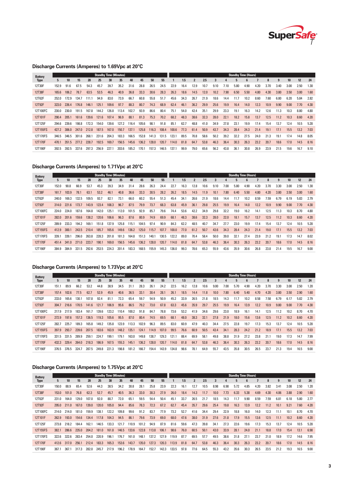

## **Discharge Currents (Amperes) to 1.69Vpc at 20°C**

| <b>Battery</b> |       |       |       |       |       | <b>Standby Time (Minutes)</b> |       |       |       |       |       |       |      |                |      |      |      |      | <b>Standby Time (Hours)</b> |      |      |                |      |      |      |
|----------------|-------|-------|-------|-------|-------|-------------------------------|-------|-------|-------|-------|-------|-------|------|----------------|------|------|------|------|-----------------------------|------|------|----------------|------|------|------|
| <b>Type</b>    | 5.    | 10    | 15    | 20    | 25    | 30                            | 35    | 40    | 45    | 50    | 55    |       | 1.5  | $\overline{2}$ | 2.5  | 3    | 4    | 5    | ն                           |      | 8    | $\overline{9}$ | 10   | 12   | 24   |
| 12T30F         | 152.9 | 91.6  | 67.5  | 54.3  | 45.7  | 39.7                          | 35.2  | 31.6  | 28.8  | 26.5  | 24.5  | 22.9  | 16.4 | 12.9           | 10.7 | 9.10 | 7.10 | 5.80 | 4.90                        | 4.20 | 3.70 | 3.40           | 3.00 | 2.50 | 1.30 |
| 12T38F         | 165.6 | 106.2 | 78.7  | 63.5  | 53.5  | 46.3                          | 40.9  | 36.8  | 33.3  | 30.6  | 28.3  | 26.3  | 18.6 | 14.5           | 12.0 | 10.2 | 7.90 | 6.50 | 5.50                        | 4.80 | 4.30 | 3.80           | 3.50 | 3.00 | 1.60 |
| 12T62F         | 252.0 | 172.9 | 134.7 | 111.1 | 94.9  | 83.0                          | 73.9  | 66.7  | 60.8  | 55.8  | 51.7  | 45.6  | 34.3 | 26.7           | 21.9 | 18.6 | 14.4 | 11.7 | 10.2                        | 8.60 | 7.60 | 6.80           | 6.20 | 5.84 | 2.82 |
| 12T92F         | 323.0 | 226.4 | 176.8 | 146.1 | 125.1 | 109.6                         | 97.7  | 88.3  | 80.7  | 74.3  | 68.9  | 62.4  | 46.1 | 36.2           | 29.9 | 25.6 | 19.9 | 16.4 | 14.0                        | 12.3 | 10.9 | 9.90           | 9.00 | 7.70 | 4.30 |
| 12T100FC       | 230.0 | 230.0 | 191.5 | 167.8 | 144.2 | 126.8                         | 113.4 | 102.7 | 93.9  | 86.6  | 80.4  | 75.1  | 54.0 | 42.4           | 35.1 | 29.9 | 23.3 | 19.1 | 16.3                        | 14.2 | 12.6 | 11.3           | 10.3 | 8.80 | 4.80 |
| 12T101F        | 290.4 | 205.1 | 161.6 | 139.6 | 121.6 | 107.4                         | 96.9  | 88.1  | 81.3  | 75.3  | 70.2  | 68.2  | 48.3 | 38.6           | 32.3 | 28.0 | 22.1 | 18.2 | 15.8                        | 13.7 | 12.5 | 11.2           | 10.3 | 8.60 | 4.20 |
| 12T125F        | 294.6 | 239.6 | 198.8 | 172.3 | 154.0 | 139.6                         | 127.2 | 116.4 | 105.6 | 98.1  | 91.8  | 85.1  | 62.7 | 48.8           | 41.0 | 34.9 | 27.8 | 23.1 | 19.9                        | 17.4 | 15.4 | 13.7           | 12.4 | 10.5 | 5.28 |
| 12T155FS       | 427.2 | 306.0 | 247.0 | 212.8 | 187.5 | 167.0                         | 150.7 | 137.1 | 125.8 | 116.3 | 108.4 | 100.6 | 77.3 | 61.4           | 50.9 | 43.7 | 34.3 | 28.4 | 24.3                        | 21.4 | 19.1 | 17.1           | 15.5 | 13.2 | 7.03 |
| 12T170FS       | 346.5 | 346.5 | 301.6 | 268.1 | 231.6 | 204.3                         | 183.3 | 166.5 | 152.8 | 141.3 | 131.5 | 123.1 | 89.5 | 70.8           | 58.6 | 50.2 | 39.2 | 32.2 | 27.5                        | 24.0 | 21.3 | 19.1           | 17.4 | 14.8 | 8.05 |
| 12T170F        | 470.1 | 351.5 | 277.2 | 228.7 | 192.5 | 169.7                         | 156.5 | 145.6 | 136.2 | 128.0 | 120.7 | 114.0 | 81.8 | 64.7           | 53.8 | 46.3 | 36.4 | 30.3 | 26.3                        | 23.2 | 20.7 | 18.6           | 17.0 | 14.5 | 8.16 |
| 12T190F        | 392.5 | 392.5 | 337.6 | 297.3 | 256.9 | 227.1                         | 203.6 | 185.2 | 170.1 | 157.3 | 146.5 | 137.1 | 99.9 | 79.0           | 65.6 | 56.2 | 43.8 | 36.  | 30.8                        | 26.9 | 23.9 | 21.5           | 19.6 | 16.7 | 9.10 |
|                |       |       |       |       |       |                               |       |       |       |       |       |       |      |                |      |      |      |      |                             |      |      |                |      |      |      |

## **Discharge Currents (Amperes) to 1.71Vpc at 20°C**

| <b>Battery</b> |       |       |       |       |       |       | <b>Standby Time (Minutes)</b> |       |       |       |       |       |      |      |      |      |      |      | <b>Standby Time (Hours)</b> |      |      |      |      |      |      |
|----------------|-------|-------|-------|-------|-------|-------|-------------------------------|-------|-------|-------|-------|-------|------|------|------|------|------|------|-----------------------------|------|------|------|------|------|------|
| <b>Type</b>    | 5.    | 10    | 15    | 20    | 25    | 30    | 35                            | 40    | 45    | 50    | 55    |       | 1.5  |      | 2.5  |      |      |      |                             |      |      | 9    | 10   | 12   | 24   |
| 12T30F         | 152.0 | 90.8  | 66.9  | 53.7  | 45.3  | 39.3  | 34.9                          | 31.4  | 28.6  | 26.3  | 24.4  | 22.7  | 16.3 | 12.8 | 10.6 | 9.10 | 7.00 | 5.80 | 4.90                        | 4.20 | 3.70 | 3.30 | 3.00 | 2.50 | 1.30 |
| 12T38F         | 161.7 | 103.9 | 78.1  | 63.1  | 53.2  | 46.1  | 40.8                          | 36.6  | 33.3  | 30.5  | 28.2  | 26.2  | 18.5 | 14.5 | 11.9 | 10.1 | 7.80 | 6.40 | 5.50                        | 4.80 | 4.20 | 3.80 | 3.50 | 3.00 | 1.60 |
| 12T62F         | 240.0 | 169.3 | 132.5 | 109.5 | 93.7  | 82.7  | 73.1                          | 66.0  | 60.2  | 55.4  | 51.3  | 45.4  | 34.1 | 26.6 | 21.9 | 18.6 | 14.4 | 11.7 | 10.2                        | 8.59 | 7.59 | 6.79 | 6.19 | 5.83 | 2.79 |
| 12T92F         | 314.0 | 221.6 | 173.7 | 143.9 | 123.4 | 108.3 | 96.7                          | 87.5  | 79.9  | 73.7  | 68.3  | 63.8  | 45.9 | 36.1 | 29.8 | 25.5 | 19.9 | 16.4 | 14.0                        | 12.2 | 10.9 | 9.90 | 9.00 | 7.70 | 4.30 |
| 12T100FC       | 224.0 | 224.0 | 187.6 | 164.8 | 142.0 | 125.1 | 112.0                         | 101.5 | 92.9  | 85.7  | 79.6  | 74.4  | 53.6 | 42.2 | 34.9 | 29.8 | 32.2 | 19.0 | 16.2                        | 14.1 | 12.5 | 11.3 | 10.3 | 8.70 | 4.80 |
| 12T101F        | 282.0 | 201.6 | 159.6 | 138.2 | 120.6 | 106.6 | 96.3                          | 87.6  | 80.9  | 74.9  | 69.9  | 68.1  | 48.3 | 38.6 | 32.3 | 28.0 | 22.0 | 18.1 | 15.7                        | 13.7 | 12.5 | 11.2 | 10.3 | 8.60 | 4.20 |
| 12T125F        | 289.9 | 233.3 | 194.2 | 169.1 | 151.8 | 137.9 | 125.8                         | 115.1 | 104.5 | 97.4  | 90.9  | 84.3  | 62.2 | 48.5 | 40.7 | 34.7 | 27.7 | 23.0 | 19.9                        | 17.4 | 15.4 | 13.7 | 12.4 | 10.5 | 5.28 |
| 12T155FS       | 412.9 | 300.1 | 243.5 | 210.4 | 185.7 | 165.6 | 149.6                         | 136.2 | 125.0 | 115.7 | 107.7 | 100.0 | 77.0 | 61.2 | 50.7 | 43.6 | 34.3 | 28.4 | 24.3                        | 21.4 | 19.0 | 17.1 | 15.5 | 13.2 | 7.03 |
| 12T170FS       | 339.1 | 339.1 | 296.0 | 263.8 | 228.3 | 201.8 | 181.3                         | 164.8 | 151.3 | 140.1 | 130.5 | 122.2 | 89.0 | 70.4 | 58.4 | 50.0 | 39.0 | 32.1 | 27.4                        | 23.9 | 21.2 | 19.1 | 17.3 | 14.7 | 8.02 |
| 12T170F        | 451.4 | 341.0 | 271.0 | 223.7 | 190.1 | 169.0 | 156.5                         | 145.6 | 136.2 | 128.0 | 120.7 | 114.0 | 81.8 | 64.7 | 53.8 | 46.3 | 36.4 | 30.3 | 26.3                        | 23.2 | 20.7 | 18.6 | 17.0 | 14.5 | 8.16 |
| 12T190F        | 384.9 | 384.9 | 331.5 | 292.6 | 253.5 | 224.3 | 201.4                         | 183.3 | 168.5 | 155.9 | 145.3 | 136.0 | 99.3 | 78.6 | 65.3 | 55.9 | 43.6 | 35.9 | 30.6                        | 26.8 | 23.8 | 21.4 | 19.5 | 16.7 | 9.00 |

## **Discharge Currents (Amperes) to 1.73Vpc at 20°C**

| <b>Battery</b> |       |       |       |       |       | <b>Standby Time (Minutes)</b> |       |       |       |       |       |       |      |                |      |      |      |      | <b>Standby Time (Hours)</b> |      |      |      |                 |      |      |
|----------------|-------|-------|-------|-------|-------|-------------------------------|-------|-------|-------|-------|-------|-------|------|----------------|------|------|------|------|-----------------------------|------|------|------|-----------------|------|------|
| <b>Type</b>    | 5.    | 10    | 15    | 20    | 25    | 30                            | 35    | 40    | 45    | 50    | 55    |       | 1.5  | $\overline{2}$ | 2.5  | 3    | Д    | 5    | ĥ.                          |      | 8    | 9    | 10 <sup>1</sup> | 12   | 24   |
| 12T30F         | 151.1 | 89.9  | 66.2  | 53.2  | 44.8  | 38.9                          | 34.5  | 31.1  | 28.3  | 26.1  | 24.2  | 22.5  | 16.2 | 12.8           | 10.6 | 9.00 | 7.00 | 5.70 | 4.90                        | 4.20 | 3.70 | 3.30 | 3.00            | 2.50 | 1.20 |
| 12T38F         | 157.4 | 102.6 | 77.5  | 62.7  | 52.9  | 45.9                          | 40.6  | 36.5  | 33.1  | 30.4  | 28.1  | 26.1  | 18.5 | 14.4           | 11.8 | 10.0 | 7.80 | 6.40 | 5.40                        | 4.70 | 4.20 | 3.80 | 3.50            | 2.90 | 1.60 |
| 12T62F         | 233.0 | 165.6 | 130.1 | 107.8 | 92.4  | 81.1                          | 72.3  | 65.4  | 59.7  | 54.9  | 50.9  | 45.2  | 33.9 | 26.5           | 21.8 | 18.5 | 14.3 | 11.7 | 10.2                        | 8.58 | 7.58 | 6.79 | 6.17            | 5.82 | 2.79 |
| 12T92F         | 304.7 | 216.6 | 170.5 | 141.6 | 121.7 | 106.9                         | 95.6  | 86.5  | 79.2  | 73.0  | 67.8  | 63.3  | 45.6 | 35.9           | 29.7 | 25.5 | 19.9 | 16.4 | 13.9                        | 12.2 | 10.9 | 9.80 | 9.00            | 7.70 | 4.30 |
| 12T100FC       | 217.9 | 217.9 | 183.4 | 161.7 | 139.6 | 123.2                         | 110.4 | 100.2 | 91.8  | 84.7  | 78.8  | 73.6  | 53.2 | 41.9           | 34.6 | 29.6 | 23.0 | 18.9 | 16.1                        | 14.1 | 12.5 | 11.2 | 10.2            | 8.70 | 4.70 |
| 12T101F        | 272.9 | 197.6 | 157.3 | 136.5 | 119.3 | 105.6                         | 95.5  | 87.0  | 80.4  | 74.5  | 69.5  | 68.1  | 48.0 | 38.3           | 32.1 | 27.8 | 21.9 | 18.0 | 15.6                        | 13.6 | 12.5 | 11.2 | 10.2            | 8.60 | 4.20 |
| 12T125F        | 282.7 | 225.7 | 189.3 | 165.8 | 149.2 | 135.8                         | 123.9 | 113.3 | 102.9 | 96.3  | 89.5  | 83.0  | 60.9 | 47.9           | 40.3 | 34.4 | 27.5 | 22.8 | 19.7                        | 17.3 | 15.3 | 13.7 | 12.4            | 10.5 | 5.28 |
| 12T155FS       | 397.9 | 293.7 | 239.6 | 207.5 | 183.6 | 163.9                         | 148.2 | 135.1 | 124.1 | 114.9 | 107.0 | 99.5  | 76.6 | 60.9           | 50.5 | 43.4 | 34.1 | 28.3 | 24.2                        | 21.2 | 18.9 | 17.1 | 15.5            | 13.2 | 7.03 |
| 12T170FS       | 331.5 | 331.5 | 289.9 | 259.1 | 224.7 | 199.1                         | 179.1 | 163.0 | 149.8 | 138.7 | 129.3 | 121.1 | 88.4 | 69.9           | 58.1 | 49.8 | 38.8 | 31.9 | 27.2                        | 23.8 | 21.1 | 19.0 | 17.3            | 14.7 | 7.99 |
| 12T170F        | 432.3 | 329.4 | 264.0 | 218.3 | 186.9 | 167.5                         | 155.3 | 145.1 | 136.2 | 128.0 | 120.7 | 114.0 | 81.8 | 64.7           | 53.8 | 46.3 | 36.4 | 30.3 | 26.3                        | 23.2 | 20.7 | 18.6 | 17.0            | 14.5 | 8.16 |
| 12T190F        | 376.5 | 376.5 | 324.7 | 287.5 | 249.8 | 221.3                         | 198.8 | 181.2 | 166.7 | 154.4 | 143.9 | 134.8 | 98.6 | 78.1           | 64.9 | 55.7 | 43.5 | 35.8 | 30.5                        | 26.5 | 23.7 | 21.3 | 19.4            | 16.5 | 9.00 |
|                |       |       |       |       |       |                               |       |       |       |       |       |       |      |                |      |      |      |      |                             |      |      |      |                 |      |      |

#### **Discharge Currents (Amperes) to 1.75Vpc at 20°C**

| <b>Battery</b> |       |       |       |       |       | <b>Standby Time (Minutes)</b> |       |       |       |       |       |       |      |                            |      |      |      | <b>Standby Time (Hours)</b> |      |      |      |              |      |      |      |
|----------------|-------|-------|-------|-------|-------|-------------------------------|-------|-------|-------|-------|-------|-------|------|----------------------------|------|------|------|-----------------------------|------|------|------|--------------|------|------|------|
| <b>Type</b>    | 5.    | 10    | 15    | 20    | 25    | 30                            | 35    |       | 45    | 50    | 55    |       | 1.5  | $\boldsymbol{\mathcal{P}}$ | 2.5  |      |      |                             | 6    |      | 8    | $\mathbf{q}$ | 10   | 12   | 24   |
| 12T30F         | 150.0 | 88.9  | 65.4  | 52.6  | 44.3  | 38.5                          | 34.2  | 30.8  | 28.1  | 25.8  | 23.9  | 22.3  | 16.1 | 12.7                       | 10.5 | 8.98 | 6.98 | 5.72                        | 4.85 | 4.20 | 3.82 | 3.41         | 3.08 | 2.50 | 1.20 |
| 12T38F         | 153.0 | 101.0 | 76.8  | 62.3  | 52.7  | 45.7                          | 40.5  | 36.3  | 33.0  | 30.3  | 27.9  | 26.0  | 18.4 | 14.3                       | 11.7 | 10.0 | 7.73 | 6.33                        | 5.38 | 4.69 | 4.30 | 4.06         | 3.88 | 2.90 | 1.60 |
| 12T62F         | 231.0 | 164.0 | 129.0 | 107.0 | 92.0  | 80.7                          | 72.0  | 65.1  | 59.5  | 54.4  | 50.4  | 45.1  | 33.7 | 26.5                       | 21.7 | 18.5 | 14.3 | 11.7                        | 9.90 | 8.59 | 7.59 | 6.81         | 6.18 | 5.80 | 2.77 |
| 12T92F         | 295.0 | 211.0 | 167.0 | 139.0 | 120.0 | 105.0                         | 94.4  | 85.6  | 78.3  | 72.3  | 67.2  | 62.7  | 45.4 | 35.7                       | 29.6 | 25.4 | 19.8 | 16.3                        | 13.9 | 12.2 | 11.2 | 10.1         | 9.21 | 7.60 | 4.20 |
| 12T100FC       | 214.0 | 214.0 | 181.0 | 159.9 | 138.1 | 122.2                         | 109.8 | 99.6  | 91.2  | 83.7  | 77.9  | 73.2  | 52.7 | 41.6                       | 34.4 | 29.4 | 22.9 | 18.8                        | 16.0 | 14.0 | 12.3 | 11.1         | 10.1 | 8.70 | 4.70 |
| 12T101F        | 262.9 | 193.0 | 154.6 | 134.4 | 117.8 | 104.3                         | 94.5  | 86.1  | 79.6  | 73.9  | 69.0  | 68.0  | 47.6 | 38.0                       | 31.9 | 27.6 | 21.8 | 17.9                        | 15.5 | 13.6 | 12.5 | 11.1         | 10.2 | 8.60 | 4.20 |
| 12T125F        | 273.8 | 218.2 | 184.4 | 162.  | 146.5 | 133.3                         | 121.7 | 110.9 | 101.2 | 94.9  | 87.9  | 81.6  | 59.6 | 47.3                       | 39.8 | 34.1 | 27.3 | 22.6                        | 19.6 | 17.3 | 15.3 | 13.7         | 12.4 | 10.5 | 5.28 |
| 12T155FS       | 382.1 | 286.6 | 235.0 | 204.2 | 181.0 | 161.8                         | 146.5 | 133.6 | 122.8 | 113.8 | 106.1 | 98.6  | 76.0 | 60.5                       | 50.1 | 43.0 | 33.9 | 28.1                        | 24.0 | 21.1 | 18.8 | 17.0         | 15.4 | 13.1 | 6.98 |
| 12T170FS       | 322.6 | 322.6 | 283.4 | 254.0 | 220.9 | 196.1                         | 176.7 | 161.0 | 148.1 | 137.2 | 127.9 | 119.9 | 87.7 | 69.5                       | 57.7 | 49.5 | 38.6 | 31.8                        | 27.1 | 23.7 | 21.0 | 18.9         | 17.2 | 14.6 | 7.95 |
| 12T170F        | 412.6 | 317.0 | 256.1 | 212.4 | 183.3 | 165.3                         | 153.6 | 143.7 | 135.0 | 127.3 | 120.3 | 113.9 | 81.8 | 64.7                       | 53.8 | 46.3 | 36.4 | 30.3                        | 26.3 | 23.2 | 20.7 | 18.6         | 17.0 | 14.5 | 8.16 |
| 12T190F        | 367.1 | 367.1 | 317.3 | 282.0 | 245.7 | 217.9                         | 196.2 | 178.9 | 164.7 | 152.7 | 142.3 | 133.5 | 97.8 | 77.6                       | 64.5 | 55.3 | 43.2 | 35.6                        | 30.3 | 26.5 | 23.5 | 21.2         | 19.3 | 16.5 | 9.00 |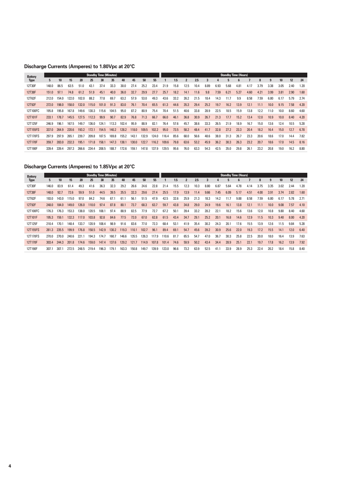## **Discharge Currents (Amperes) to 1.80Vpc at 20°C**

| 5.    | 10    | 15    | 20    | 25    | 30 <sup>2</sup> | 35    | 40                            | 45    | 50    | 55    |       | 1.5  | $\overline{2}$ | 2.5  | 3    |      | 5    | 6    |      | 8                           | 9    | 10 <sup>10</sup> | 12   | 24   |
|-------|-------|-------|-------|-------|-----------------|-------|-------------------------------|-------|-------|-------|-------|------|----------------|------|------|------|------|------|------|-----------------------------|------|------------------|------|------|
| 148.0 | 86.5  | 63.5  | 51.0  | 43.1  | 37.4            | 33.3  | 30.0                          | 27.4  | 25.2  | 23.4  | 21.9  | 15.8 | 12.5           | 10.4 | 8.89 | 6.93 | 5.68 | 4.81 | 4.17 | 3.79                        | 3.38 | 3.05             | 2.40 | 1.20 |
| 151.0 | 97.1  | 74.8  | 61.2  | 51.9  | 45.1            | 40.0  | 36.0                          | 32.7  | 29.9  | 27.7  | 25.7  | 18.2 | 14.1           | 11.6 | 9.8  | 7.59 | 6.21 | 5.27 | 4.60 | 4.21                        | 3.99 | 3.81             | 2.90 | 1.60 |
| 212.0 | 154.0 | 122.0 | 102.0 | 88.2  | 77.8            | 69.7  | 63.2                          | 57.9  | 53.0  | 49.3  | 43.6  | 33.2 | 26.2           | 21.5 | 18.4 | 14.3 | 11.7 | 9.9  | 8.58 | 7.59                        | 6.80 | 6.17             | 5.79 | 2.74 |
| 272.0 | 198.0 | 158.0 | 132.0 | 115.0 | 101.0           | 91.3  | 83.0                          | 76.1  | 70.4  | 65.5  | 61.3  | 44.6 | 35.3           | 29.4 | 25.2 | 19.7 | 16.2 | 13.9 | 12.1 | 11.1                        | 10.0 | 9.15             | 7.58 | 4.20 |
| 195.8 | 195.8 | 167.8 | 149.6 | 130.3 | 115.6           | 104.5 | 95.0                          | 87.2  | 80.9  | 75.4  | 70.4  | 51.5 | 40.6           | 33.8 | 28.9 | 22.5 | 18.5 | 15.9 | 13.8 | 12.2                        | 11.0 | 10.0             | 8.60 | 4.60 |
| 233.1 | 178.7 | 145.5 | 127.5 | 112.3 | 99.9            | 90.7  | 82.9                          | 76.8  | 71.3  | 66.7  | 66.0  | 46.1 | 36.8           | 30.9 | 26.7 | 21.3 | 17.7 | 15.2 | 13.4 | 12.0                        | 10.9 | 10.0             | 8.40 | 4.20 |
| 246.9 | 196.1 | 167.5 | 149.7 | 136.0 | 124.1           | 113.3 | 102.4                         | 95.9  | 88.9  | 82.1  | 76.4  | 57.6 | 45.7           | 38.6 | 33.3 | 26.5 | 21.9 | 18.9 | 16.7 | 15.0                        | 13.6 | 12.4             | 10.5 | 5.28 |
| 337.0 | 264.9 | 220.6 | 193.2 | 172.1 | 154.5           | 140.2 | 128.2                         | 118.0 | 109.5 | 102.2 | 95.0  | 73.5 | 58.2           | 48.4 | 41.7 | 32.8 | 27.2 | 23.3 | 20.4 | 18.2                        | 16.4 | 15.0             | 12.7 | 6.78 |
| 297.9 | 297.9 | 265.  | 239.7 | 209.8 | 187.5           | 169.8 | 155.2                         | 143.1 | 132.9 | 124.0 | 116.4 | 85.6 | 68.0           | 56.6 | 48.6 | 38.0 | 31.3 | 26.7 | 23.3 | 20.6                        | 18.6 | 17.0             | 14.4 | 7.82 |
| 359.7 | 283.0 | 232.3 | 195.1 | 171.8 | 158.1           | 147.3 | 138.1                         | 130.0 | 122.7 | 116.2 | 109.6 | 79.8 | 63.6           | 53.2 | 45.9 | 36.2 | 30.3 | 26.3 | 23.2 | 20.7                        | 18.6 | 17.0             | 14.5 | 8.16 |
| 339.4 | 339.4 | 297.3 | 266.6 | 234.4 | 208.5           | 188.7 | 172.6                         | 159.1 | 147.8 | 137.9 | 129.5 | 95.6 | 76.0           | 63.3 | 54.3 | 42.5 | 35.0 | 29.8 | 26.1 | 23.2                        | 20.8 | 19.0             | 16.2 | 8.80 |
|       |       |       |       |       |                 |       | <b>Standby Time (Minutes)</b> |       |       |       |       |      |                |      |      |      |      |      |      | <b>Standby Time (Hours)</b> |      |                  |      |      |

## **Discharge Currents (Amperes) to 1.85Vpc at 20°C**

| <b>Battery</b> |       |       |       |       | <b>Standby Time (Minutes)</b> |       |       |       |       |       |       |       |      |                |      |      |      |      | <b>Standby Time (Hours)</b> |      |      |      |                 |      |      |
|----------------|-------|-------|-------|-------|-------------------------------|-------|-------|-------|-------|-------|-------|-------|------|----------------|------|------|------|------|-----------------------------|------|------|------|-----------------|------|------|
| <b>Type</b>    | 5.    | 10    | 15    | 20    | 25                            | 30    | 35    | 40    | 45    | 50    | 55    |       | 1.5  | $\overline{2}$ | 2.5  | 3    |      |      | ĥ                           |      | 8    | 9    | 10 <sup>°</sup> | 12   | 24   |
| 12T30F         | 146.0 | 83.9  | 61.4  | 49.3  | 41.6                          | 36.3  | 32.3  | 29.2  | 26.6  | 24.6  | 22.8  | 21.4  | 15.5 | 12.3           | 10.3 | 8.80 | 6.87 | 5.64 | 4.78                        | 4.14 | 3.75 | 3.35 | 3.02            | 2.44 | 1.20 |
| 12T38F         | 148.0 | 92.7  | 72.6  | 59.9  | 51.0                          | 44.5  | 39.5  | 35.5  | 32.3  | 29.6  | 27.4  | 25.5  | 17.9 | 13.9           | 11.4 | 9.66 | 7.45 | 6.09 | 5.17                        | 4.51 | 4.00 | 3.91 | 3.74            | 2.82 | 1.60 |
| 12T62F         | 193.0 | 143.0 | 115.0 | 97.0  | 84.2                          | 74.6  | 67.1  | 61.1  | 56.1  | 51.5  | 47.9  | 42.5  | 32.6 | 25.9           | 21.3 | 18.3 | 14.2 | 11.7 | 9.88                        | 8.58 | 7.59 | 6.80 | 6.17            | 5.78 | 2.71 |
| 12T92F         | 248.0 | 184.0 | 149.0 | 126.0 | 110.0                         | 97.4  | 87.8  | 80.1  | 73.7  | 68.3  | 63.7  | 59.7  | 43.8 | 34.8           | 29.0 | 24.9 | 19.6 | 16.1 | 13.8                        | 12.1 | 11.1 | 10.0 | 9.08            | 7.57 | 4.10 |
| 12T100FC       | 176.3 | 176.3 | 153.3 | 138.0 | 120.5                         | 108.1 | 97.4  | 88.9  | 82.5  | 77.9  | 72.7  | 67.2  | 50.1 | 39.4           | 33.2 | 28.2 | 22.1 | 18.2 | 15.6                        | 13.6 | 12.0 | 10.8 | 9.80            | 8.40 | 4.60 |
| 12T101F        | 195.3 | 159.1 | 132.3 | 117.0 | 103.8                         | 92.8  | 84.6  | 77.5  | 72.0  | 67.0  | 62.8  | 61.5  | 43.4 | 34.7           | 29.1 | 25.2 | 20.1 | 16.8 | 14.6                        | 12.9 | 11.5 | 10.3 | 9.40            | 8.00 | 4.20 |
| 12T125F        | 210.4 | 170.1 | 148.4 | 133.7 | 120.9                         | 108.4 | 98.9  | 91.6  | 83.6  | 77.0  | 72.3  | 68.4  | 53.1 | 41.9           | 35.4 | 30.2 | 24.3 | 20.1 | 17.6                        | 15.5 | 13.9 | 12.6 | 11.5            | 9.84 | 5.28 |
| 12T155FS       | 281.3 | 235.5 | 199.9 | 176.8 | 158.5                         | 142.9 | 130.2 | 119.3 | 110.1 | 102.7 | 96.1  | 89.4  | 69.1 | 54.7           | 45.6 | 39.2 | 30.9 | 25.6 | 22.0                        | 19.3 | 17.2 | 15.5 | 14.1            | 12.0 | 6.40 |
| 12T170FS       | 270.0 | 270.0 | 240.6 | 221.1 | 194.3                         | 174.7 | 160.7 | 146.6 | 135.5 | 126.3 | 117.9 | 110.6 | 81.7 | 65.5           | 54.7 | 47.0 | 36.7 | 30.3 | 25.8                        | 22.5 | 20.0 | 18.0 | 16.4            | 13.9 | 7.63 |
| 12T170F        | 303.4 | 244.3 | 201.8 | 174.6 | 159.0                         | 147.4 | 137.6 | 129.2 | 121.7 | 114.9 | 107.8 | 101.4 | 74.6 | 59.9           | 50.2 | 43.4 | 34.4 | 28.9 | 25.1                        | 22.1 | 19.7 | 17.8 | 16.2            | 13.9 | 7.92 |
| 12T190F        | 307.1 | 307.1 | 272.5 | 248.5 | 219.4                         | 196.3 | 179.1 | 163.3 | 150.8 | 149.7 | 139.9 | 123.0 | 96.6 | 73.2           | 63.9 | 52.5 | 41.1 | 33.9 | 28.9                        | 25.3 | 22.4 | 20.2 | 18.4            | 15.8 | 8.40 |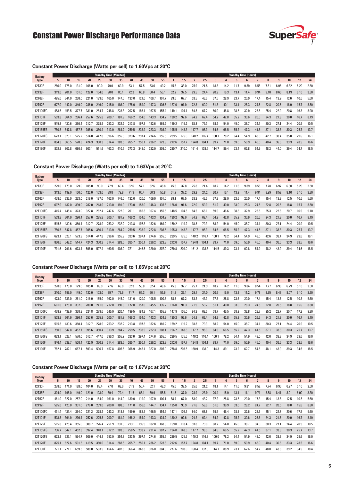## Constant Power Discharge Performance Data



#### **Constant Power Discharge (Watts per cell) to 1.60Vpc at 20°C**

| <b>Battery</b> |       |       |       |       |       | <b>Standby Time (Minutes)</b> |       |       |       |       |       |       |       |                |       |       |              |      | <b>Standby Time (Hours)</b> |      |      |      |      |      |      |
|----------------|-------|-------|-------|-------|-------|-------------------------------|-------|-------|-------|-------|-------|-------|-------|----------------|-------|-------|--------------|------|-----------------------------|------|------|------|------|------|------|
| <b>Type</b>    | 5     | 10    | 15    | 20    | 25    | 30 <sub>2</sub>               | 35    | 40    | 45    | 50    | 55    |       | 1.5   | $\overline{2}$ | 2.5   | 3     | $\mathbf{a}$ | 5    | <sub>6</sub>                |      | 8    | 9    | 10   | 12   | 24   |
| 12T30F         | 280.0 | 175.0 | 131.0 | 106.0 | 90.0  | 79.0                          | 69.9  | 63.1  | 57.5  | 53.0  | 49.2  | 45.8  | 33.0  | 25.9           | 21.5  | 18.3  | 14.2         | 11.7 | 9.89                        | 8.58 | 7.81 | 6.96 | 6.32 | 5.20 | 2.60 |
| 12T38F         | 319.0 | 201.0 | 151.0 | 122.0 | 104.0 | 90.0                          | 80.1  | 72.2  | 65.8  | 60.4  | 56.1  | 52.2  | 37.5  | 29.5           | 24.4  | 20.9  | 16.3         | 13.4 | 11.4                        | 9.94 | 9.10 | 8.60 | 8.19 | 6.10 | 3.30 |
| 12T62F         | 495.0 | 344.0 | 268.0 | 221.0 | 189.0 | 165.0                         | 147.0 | 133.0 | 121.0 | 109.7 | 101.7 | 89.6  | 67.7  | 53.5           | 43.6  | 37.5  | 28.9         | 23.7 | 20.0                        | 17.4 | 15.4 | 13.9 | 12.6 | 10.6 | 5.60 |
| 12T92F         | 627.0 | 442.0 | 346.0 | 286.0 | 246.0 | 215.0                         | 193.0 | 175.0 | 159.0 | 147.3 | 136.8 | 127.0 | 91.9  | 72.3           | 60.0  | 51.3  | 40.1         | 33.1 | 28.3                        | 24.8 | 22.8 | 20.6 | 18.9 | 15.7 | 8.80 |
| 12T100FC       | 453.5 | 453.5 | 377.7 | 331.0 | 284.7 | 248.8                         | 223.3 | 202.5 | 186.1 | 167.5 | 155.4 | 149.1 | 104.1 | 84.8           | 67.2  | 60.0  | 46.8         | 38.5 | 32.9                        | 28.8 | 25.4 | 22.9 | 20.8 | 16.3 | 8.90 |
| 12T101F        | 503.8 | 364.9 | 296.4 | 257.6 | 225.8 | 200.7                         | 181.9 | 166.2 | 154.0 | 143.3 | 134.2 | 130.2 | 92.6  | 74.2           | 62.4  | 54.2  | 42.8         | 35.2 | 30.6                        | 26.6 | 24.3 | 21.8 | 20.0 | 16.7 | 8.19 |
| 12T125F        | 515.8 | 430.6 | 360.4 | 312.7 | 278.9 | 253.2                         | 232.2 | 213.8 | 197.3 | 182.6 | 169.2 | 159.2 | 119.2 | 93.8           | 79.3  | 68.2  | 54.0         | 45.0 | 38.7                        | 34.1 | 30.3 | 27.1 | 24.4 | 20.9 | 10.5 |
| 12T155FS       | 750.5 | 547.8 | 457.7 | 395.6 | 350.4 | 313.9                         | 284.2 | 259.5 | 238.9 | 223.3 | 208.9 | 195.5 | 148.3 | 117.7          | 98.3  | 84.6  | 66.5         | 55.2 | 47.3                        | 41.5 | 37.1 | 33.3 | 30.3 | 25.7 | 13.7 |
| 12T170FS       | 623.1 | 623.1 | 575.2 | 514.0 | 447.8 | 396.6                         | 355.9 | 323.6 | 297.4 | 274.6 | 255.5 | 239.5 | 175.6 | 140.2          | 116.4 | 100.1 | 78.2         | 64.4 | 54.9                        | 48.0 | 42.7 | 38.4 | 35.0 | 29.6 | 16.1 |
| 12T170F        | 894.3 | 660.5 | 520.8 | 424.3 | 360.3 | 314.4                         | 283.5 | 265.7 | 250.1 | 236.2 | 223.8 | 212.6 | 157.7 | 124.8          | 104.1 | 89.7  | 71.0         | 59.0 | 50.9                        | 45.0 | 40.4 | 36.6 | 33.3 | 28.5 | 16.6 |
| 12T190F        | 802.8 | 802.8 | 680.6 | 603.1 | 511.6 | 463.3                         | 410.5 | 373.3 | 348.0 | 332.0 | 309.0 | 280.7 | 210.0 | 161.4          | 138.5 | 114.7 | 89.4         | 73.4 | 62.8                        | 54.9 | 48.2 | 44.0 | 39.4 | 34.7 | 18.5 |
|                |       |       |       |       |       |                               |       |       |       |       |       |       |       |                |       |       |              |      |                             |      |      |      |      |      |      |

#### **Constant Power Discharge (Watts per cell) to 1.63Vpc at 20°C**

| <b>Battery</b> |       |       |       |       |       | <b>Standby Time (Minutes)</b> |       |       |       |       |       |       |       |              |       |       |      |      | <b>Standby Time (Hours)</b> |      |      |      |                 |      |      |
|----------------|-------|-------|-------|-------|-------|-------------------------------|-------|-------|-------|-------|-------|-------|-------|--------------|-------|-------|------|------|-----------------------------|------|------|------|-----------------|------|------|
| <b>Type</b>    | 5     | 10    | 15    | 20    | 25    | 30                            | 35    | 40    | 45    | 50    | 55    |       | 1.5   | $\mathbf{2}$ | 2.5   | 3     |      | 5    | $\mathbf{f}$                |      | 8    | 9    | 10 <sup>1</sup> | 12   | 24   |
| 12T30F         | 279.0 | 173.0 | 129.0 | 105.0 | 90.0  | 77.9                          | 69.4  | 62.6  | 57.1  | 52.6  | 48.8  | 45.5  | 32.8  | 25.8         | 21.4  | 18.2  | 14.2 | 11.6 | 9.89                        | 8.58 | 7.78 | 6.97 | 6.30            | 5.20 | 2.50 |
| 12T38F         | 313.0 | 199.0 | 150.0 | 122.0 | 103.0 | 89.8                          | 79.8  | 71.9  | 65.4  | 60.3  | 55.8  | 51.9  | 37.2  | 29.2         | 24.2  | 20.7  | 16.1 | 13.2 | 11.4                        | 9.94 | 8.99 | 8.52 | 8.10            | 6.10 | 3.30 |
| 12T62F         | 478.0 | 336.0 | 263.0 | 218.0 | 187.0 | 163.0                         | 146.0 | 132.0 | 120.0 | 109.0 | 101.0 | 89.1  | 67.5  | 53.3         | 43.5  | 37.3  | 28.9 | 23.6 | 20.0                        | 17.4 | 15.4 | 13.8 | 12.5            | 10.6 | 5.60 |
| 12T92F         | 607.0 | 432.0 | 339.0 | 282.0 | 243.0 | 213.0                         | 191.0 | 173.0 | 158.0 | 146.3 | 135.8 | 126.0 | 91.6  | 72.0         | 59.9  | 51.2  | 40.0 | 33.0 | 28.3                        | 24.8 | 22.8 | 20.6 | 18.8            | 15.7 | 8.80 |
| 12T100FC       | 445.4 | 445.4 | 373.0 | 327.8 | 282.4 | 247.6                         | 222.0 | 201.1 | 185.3 | 167.4 | 155.5 | 148.5 | 104.8 | 84.5         | 68.1  | 59.9  | 46.6 | 38.3 | 32.9                        | 28.8 | 25.3 | 22.8 | 20.7            | 16.9 | 9.10 |
| 12T101F        | 503.8 | 364.9 | 296.4 | 257.6 | 225.8 | 200.7                         | 181.9 | 166.2 | 154.0 | 143.3 | 134.2 | 130.2 | 92.6  | 74.2         | 62.4  | 54.2  | 42.8 | 35.2 | 30.6                        | 26.6 | 24.3 | 21.8 | 20.0            | 16.7 | 8.19 |
| 12T125F        | 515.8 | 430.6 | 360.4 | 312.7 | 278.9 | 253.2                         | 232.2 | 213.8 | 197.3 | 182.6 | 169.2 | 159.2 | 119.2 | 93.8         | 79.3  | 68.2  | 54.0 | 45.0 | 38.7                        | 34.1 | 30.3 | 27.1 | 24.4            | 20.9 | 10.5 |
| 12T155FS       | 750.5 | 547.8 | 457.7 | 395.6 | 350.4 | 313.9                         | 284.2 | 259.5 | 238.9 | 222.8 | 208.6 | 195.3 | 148.3 | 117.7        | 98.3  | 84.6  | 66.5 | 55.2 | 47.3                        | 41.5 | 37.1 | 33.3 | 30.3            | 25.7 | 13.7 |
| 12T170FS       | 623.1 | 623.1 | 573.9 | 514.0 | 447.8 | 396.6                         | 355.9 | 323.6 | 297.4 | 274.6 | 255.5 | 239.5 | 175.6 | 140.2        | 116.4 | 100.1 | 78.2 | 64.4 | 54.9                        | 48.0 | 42.6 | 38.4 | 34.9            | 29.6 | 16.1 |
| 12T170F        | 866.6 | 648.2 | 514.7 | 424.3 | 360.3 | 314.4                         | 283.5 | 265.7 | 250.1 | 236.2 | 223.8 | 212.6 | 157.7 | 124.8        | 104.1 | 89.7  | 71.0 | 59.0 | 50.9                        | 45.0 | 40.4 | 36.6 | 33.3            | 28.5 | 16.6 |
| 12T190F        | 791.6 | 791.6 | 673.4 | 598.0 | 507.4 | 460.5                         | 408.0 | 371.1 | 346.5 | 329.0 | 307.0 | 279.8 | 209.0 | 161.2        | 138.3 | 114.5 | 89.3 | 73.4 | 62.8                        | 54.9 | 48.2 | 43.9 | 39.4            | 34.6 | 18.5 |

#### **Constant Power Discharge (Watts per cell) to 1.65Vpc at 20°C**

| <b>Battery</b> |       |       |       |       |       | <b>Standby Time (Minutes)</b> |       |       |       |       |       |       |       |                |       |       |      |      | <b>Standby Time (Hours)</b> |      |      |                |                  |      |      |
|----------------|-------|-------|-------|-------|-------|-------------------------------|-------|-------|-------|-------|-------|-------|-------|----------------|-------|-------|------|------|-----------------------------|------|------|----------------|------------------|------|------|
| <b>Type</b>    | 5     | 10    | 15    | 20    | 25    | 30                            | 35    | 40    | 45    | 50    | 55    |       | 1.5   | $\overline{2}$ | 2.5   | 3     | 4    | 5    | 6                           |      | 8    | $\overline{9}$ | 10 <sup>10</sup> | 12   | 24   |
| 12T30F         | 278.0 | 173.0 | 129.0 | 105.0 | 89.0  | 77.6                          | 69.0  | 62.3  | 56.8  | 52.4  | 48.6  | 45.3  | 32.7  | 25.7           | 21.3  | 18.2  | 14.2 | 11.6 | 9.84                        | 8.54 | 7.77 | 6.96           | 6.29             | 5.10 | 2.60 |
| 12T38F         | 310.0 | 199.0 | 149.0 | 122.0 | 103.0 | 89.7                          | 79.6  | 71.7  | 65.3  | 60.1  | 55.6  | 51.8  | 37.1  | 29.1           | 24.0  | 20.6  | 16.0 | 13.2 | 11.2                        | 9.78 | 8.95 | 8.47           | 8.07             | 6.10 | 3.30 |
| 12T62F         | 473.0 | 333.0 | 261.0 | 216.0 | 185.0 | 162.0                         | 145.0 | 131.0 | 120.0 | 108.5 | 100.6 | 88.8  | 67.2  | 53.2           | 43.3  | 37.3  | 28.8 | 23.6 | 20.0                        | 17.4 | 15.4 | 13.8           | 12.5             | 10.5 | 5.60 |
| 12T92F         | 601.0 | 428.0 | 337.0 | 280.0 | 241.0 | 212.0                         | 190.0 | 172.0 | 157.0 | 145.5 | 135.2 | 126.0 | 91.3  | 71.9           | 59.7  | 51.1  | 40.0 | 33.0 | 28.3                        | 24.8 | 22.8 | 20.5           | 18.8             | 15.6 | 8.80 |
| 12T100FC       | 438.9 | 438.9 | 368.8 | 324.8 | 279.6 | 245.9                         | 220.4 | 199.5 | 184.3 | 167.1 | 155.3 | 147.9 | 105.0 | 84.3           | 68.5  | 59.7  | 46.5 | 38.2 | 32.8                        | 28.7 | 25.2 | 22.7           | 20.7             | 17.2 | 9.30 |
| 12T101F        | 503.8 | 364.9 | 296.4 | 257.6 | 225.8 | 200.7                         | 181.9 | 166.2 | 154.0 | 143.3 | 134.2 | 130.2 | 92.6  | 74.2           | 62.4  | 54.2  | 42.8 | 35.2 | 30.6                        | 26.6 | 24.3 | 21.8           | 20.0             | 16.7 | 8.19 |
| 12T125F        | 515.8 | 430.6 | 360.4 | 312.7 | 278.9 | 253.2                         | 232.2 | 213.8 | 197.3 | 182.6 | 169.2 | 159.2 | 119.2 | 93.8           | 79.3  | 68.2  | 54.0 | 45.0 | 38.7                        | 34.1 | 30.3 | 27.1           | 24.4             | 20.9 | 10.5 |
| 12T155FS       | 750.5 | 547.8 | 457.7 | 395.6 | 350.4 | 313.9                         | 284.2 | 259.5 | 238.9 | 222.3 | 208.1 | 194.7 | 148.3 | 117.7          | 98.3  | 84.6  | 66.5 | 55.2 | 47.3                        | 41.5 | 37.1 | 33.3           | 30.3             | 25.7 | 13.7 |
| 12T170FS       | 623.1 | 623.1 | 570.0 | 512.7 | 447.0 | 396.3                         | 355.9 | 323.6 | 297.4 | 274.6 | 255.5 | 239.5 | 175.6 | 140.2          | 116.4 | 100.1 | 78.2 | 64.4 | 54.9                        | 48.0 | 42.6 | 38.3           | 34.9             | 29.6 | 16.0 |
| 12T170F        | 846.4 | 638.7 | 508.4 | 422.9 | 360.3 | 314.4                         | 283.5 | 265.7 | 250.1 | 236.2 | 223.8 | 212.6 | 157.7 | 124.8          | 104.1 | 89.7  | 71.0 | 59.0 | 50.9                        | 45.0 | 40.4 | 36.6           | 33.3             | 28.5 | 16.6 |
| 12T190F        | 782.1 | 782.1 | 667.1 | 593.4 | 506.7 | 457.8                         | 405.6 | 368.9 | 345.1 | 327.0 | 305.0 | 278.8 | 208.5 | 160.9          | 138.0 | 114.3 | 89.1 | 73.2 | 62.7                        | 54.8 | 48.1 | 43.9           | 39.3             | 34.6 | 18.5 |
|                |       |       |       |       |       |                               |       |       |       |       |       |       |       |                |       |       |      |      |                             |      |      |                |                  |      |      |

#### **Constant Power Discharge (Watts per cell) to 1.67Vpc at 20°C**

| <b>Battery</b> |       |       |       |       |       | <b>Standby Time (Minutes)</b> |       |       |       |       |       |       |       |                |       |       |      |      | <b>Standby Time (Hours)</b> |      |      |              |                 |      |      |
|----------------|-------|-------|-------|-------|-------|-------------------------------|-------|-------|-------|-------|-------|-------|-------|----------------|-------|-------|------|------|-----------------------------|------|------|--------------|-----------------|------|------|
| <b>Type</b>    | 5.    | 10    | 15    | 20    | 25    | 30                            | 35    | 40    | 45    | 50    | 55    |       | 1.5   | $\overline{2}$ | 2.5   | 3     | 4    | 5    | <sub>6</sub>                |      | 8    | $\mathbf{q}$ | 10 <sup>1</sup> | 12   | 24   |
| 12T30F         | 278.0 | 171.0 | 128.0 | 104.0 | 88.4  | 77.0                          | 68.6  | 61.9  | 56.4  | 52.1  | 48.3  | 45.0  | 32.5  | 25.6           | 21.2  | 18.1  | 14.1 | 11.6 | 9.81                        | 8.52 | 7.74 | 6.96         | 6.27            | 5.10 | 2.60 |
| 12T38F         | 304.0 | 196.0 | 149.0 | 121.0 | 103.0 | 89.4                          | 79.4  | 71.5  | 65.1  | 59.9  | 55.5  | 51.6  | 37.0  | 28.9           | 23.9  | 20.4  | 15.9 | 13.1 | 11.1                        | 9.71 | 8.88 | 8.41         | 8.01            | 6.00 | 3.30 |
| 12T62F         | 461.0 | 327.0 | 257.0 | 214.0 | 184.0 | 161.0                         | 144.0 | 130.0 | 119.0 | 107.9 | 100.1 | 88.4  | 67.0  | 53.0           | 43.2  | 37.2  | 28.8 | 23.5 | 20.0                        | 17.3 | 15.4 | 13.8         | 12.5            | 10.5 | 5.60 |
| 12T92F         | 585.0 | 420.0 | 331.0 | 276.0 | 239.0 | 209.0                         | 188.0 | 171.0 | 156.0 | 144.7 | 134.4 | 125.0 | 90.9  | 71.6           | 59.6  | 51.0  | 39.9 | 33.0 | 28.2                        | 24.7 | 22.7 | 20.5         | 18.8            | 15.6 | 8.80 |
| 12T100FC       | 431.4 | 431.4 | 364.0 | 321.2 | 278.2 | 243.2                         | 218.8 | 199.0 | 183.1 | 166.5 | 154.9 | 147.1 | 105.1 | 84.0           | 68.8  | 59.5  | 46.4 | 38.1 | 32.6                        | 28.5 | 25.1 | 22.7         | 20.6            | 17.5 | 9.60 |
| 12T101F        | 503.8 | 364.9 | 296.4 | 257.6 | 225.8 | 200.7                         | 181.9 | 166.2 | 154.0 | 143.3 | 134.2 | 130.2 | 92.6  | 74.2           | 62.4  | 54.2  | 42.8 | 35.2 | 30.6                        | 26.6 | 24.3 | 21.8         | 20.0            | 16.7 | 8.19 |
| 12T125F        | 515.8 | 425.4 | 355.6 | 308.7 | 276.4 | 251.9                         | 231.3 | 213.1 | 196.9 | 182.0 | 168.8 | 159.0 | 118.4 | 93.8           | 79.0  | 68.2  | 54.0 | 45.0 | 38.7                        | 34.0 | 30.3 | 27.1         | 24.4            | 20.9 | 10.5 |
| 12T155FS       | 736.7 | 542.1 | 452.8 | 392.4 | 348.1 | 312.2                         | 283.0 | 258.5 | 238.2 | 221.4 | 207.2 | 194.0 | 148.3 | 117.7          | 98.3  | 84.6  | 66.5 | 55.2 | 47.3                        | 41.5 | 37.1 | 33.3         | 30.3            | 25.7 | 13.7 |
| 12T170FS       | 623.1 | 623.1 | 564.7 | 509.0 | 444.1 | 393.9                         | 354.7 | 323.5 | 297.4 | 274.6 | 255.5 | 239.5 | 175.6 | 140.2          | 116.3 | 100.0 | 78.2 | 64.4 | 54.9                        | 48.0 | 42.6 | 38.3         | 34.9            | 29.6 | 16.0 |
| 12T170F        | 825.1 | 627.6 | 501.5 | 419.5 | 360.0 | 314.4                         | 283.5 | 265.7 | 250.1 | 236.2 | 223.8 | 212.6 | 157.7 | 124.8          | 104.1 | 89.7  | 71.0 | 59.0 | 50.9                        | 45.0 | 40.4 | 36.6         | 33.3            | 28.5 | 16.6 |
| 12T190F        | 771.1 | 771.1 | 659.8 | 588.0 | 503.5 | 454.6                         | 402.8 | 366.4 | 343.3 | 326.0 | 304.0 | 277.6 | 208.0 | 160.4          | 137.0 | 114.1 | 88.9 | 73.1 | 62.6                        | 54.7 | 48.0 | 43.8         | 39.2            | 34.5 | 18.4 |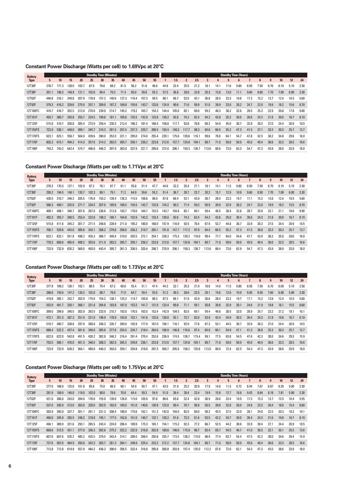## **Constant Power Discharge (Watts per cell) to 1.69Vpc at 20°C**

| 5.    | 10    | 15    | 20    | 25    | 30    | 35    | 40                            | 45    | 50    | 55    |       | 1.5   | $\mathbf{2}$ | 2.5   | 3     | 4    | 5    | 6    |      | 8                           | 9    | 10   | 12   | 24   |
|-------|-------|-------|-------|-------|-------|-------|-------------------------------|-------|-------|-------|-------|-------|--------------|-------|-------|------|------|------|------|-----------------------------|------|------|------|------|
| 278.7 | 171.3 | 128.0 | 103.7 | 87.9  | 76.6  | 68.2  | 61.5                          | 56.2  | 51.8  | 48.0  | 44.8  | 32.4  | 25.5         | 21.2  | 18.1  | 14.1 | 11.6 | 9.80 | 8.50 | 7.50                        | 6.70 | 6.10 | 5.10 | 2.50 |
| 301.1 | 196.3 | 148.9 | 121.1 | 102.6 | 89.4  | 79.3  | 71.4                          | 65.0  | 59.8  | 55.3  | 57.5  | 36.8  | 28.8         | 23.8  | 20.3  | 15.8 | 13.0 | 11.1 | 9.60 | 8.60                        | 7.70 | 7.00 | 6.00 | 3.30 |
| 440.8 | 316.1 | 249.8 | 207.9 | 178.8 | 157.2 | 140.6 | 127.3                         | 116.4 | 107.3 | 99.5  | 88.1  | 66.7  | 52.0         | 43.1  | 36.8  | 28.5 | 23.3 | 19.8 | 17.2 | 15.2                        | 13.7 | 12.4 | 10.5 | 5.60 |
| 579.3 | 416.2 | 329.6 | 275.0 | 257.1 | 209.0 | 187.2 | 169.8                         | 155.6 | 143.7 | 133.6 | 124.9 | 90.6  | 71.6         | 59.9  | 51.0  | 39.9 | 33.0 | 28.2 | 24.7 | 22.0                        | 19.9 | 18.2 | 15.6 | 8.70 |
| 416.7 | 416.7 | 352.5 | 312.0 | 270.0 | 239.0 | 214.7 | 195.2                         | 179.2 | 165.7 | 154.3 | 144.4 | 105.0 | 83.1         | 69.0  | 59.2  | 46.3 | 38.2 | 32.6 | 28.5 | 25.3                        | 22.9 | 20.8 | 17.8 | 9.80 |
| 493.7 | 360.7 | 293.8 | 255.7 | 224.5 | 199.6 | 181.1 | 165.6                         | 153.5 | 142.9 | 133.9 | 130.2 | 92.6  | 74.2         | 62.4  | 54.2  | 42.8 | 35.2 | 30.6 | 26.6 | 24.3                        | 21.8 | 20.0 | 16.7 | 8.19 |
| 515.8 | 419.7 | 350.8 | 305.4 | 273.9 | 250.4 | 230.3 | 212.4                         | 196.3 | 181.4 | 168.4 | 158.8 | 117.7 | 93.8         | 78.8  | 68.2  | 54.0 | 45.0 | 38.7 | 33.9 | 30.3                        | 27.0 | 24.4 | 20.9 | 10.5 |
| 722.0 | 536.1 | 448.0 | 389.1 | 345.7 | 310.3 | 281.5 | 257.4                         | 237.3 | 220.7 | 206.5 | 193.4 | 148.3 | 117.7        | 98.3  | 84.6  | 66.5 | 55.2 | 47.3 | 41.5 | 37.1                        | 33.3 | 30.3 | 25.7 | 13.7 |
| 623.1 | 623.1 | 558.7 | 504.0 | 439.6 | 390.0 | 352.0 | 321.1                         | 295.0 | 274.0 | 255.4 | 239.1 | 175.6 | 139.6        | 116.1 | 99.6  | 78.0 | 64.1 | 54.7 | 47.8 | 42.5                        | 38.2 | 34.8 | 29.6 | 16.0 |
| 802.2 | 615.1 | 494.2 | 414.3 | 357.6 | 314.2 | 283.5 | 265.7                         | 250.1 | 236.2 | 223.8 | 212.6 | 157.7 | 124.8        | 104.1 | 89.7  | 71.0 | 59.0 | 50.9 | 45.0 | 40.4                        | 36.6 | 33.3 | 28.5 | 16.6 |
| 743.2 | 743.2 | 642.4 | 574.7 | 496.8 | 446.3 | 397.9 | 363.0                         | 337.9 | 321.7 | 299.8 | 272.0 | 206.1 | 159.3        | 136.7 | 113.6 | 88.8 | 73.0 | 63.3 | 54.7 | 47.3                        | 43.9 | 38.9 | 33.9 | 18.0 |
|       |       |       |       |       |       |       | <b>Standby Time (Minutes)</b> |       |       |       |       |       |              |       |       |      |      |      |      | <b>Standby Time (Hours)</b> |      |      |      |      |

## **Constant Power Discharge (Watts per cell) to 1.71Vpc at 20°C**

| <b>Battery</b> |       |       |       |       |       | <b>Standby Time (Minutes)</b> |       |       |       |       |       |       |       |                |       |       |      |      | <b>Standby Time (Hours)</b> |      |      |      |                  |      |      |
|----------------|-------|-------|-------|-------|-------|-------------------------------|-------|-------|-------|-------|-------|-------|-------|----------------|-------|-------|------|------|-----------------------------|------|------|------|------------------|------|------|
| <b>Type</b>    | 5     | 10    | 15    | 20    | 25    | 30                            | 35    | 40    | 45    | 50    | 55    |       | 1.5   | $\overline{2}$ | 2.5   | 3     | 4    | 5    | 6                           |      | 8    | 9    | 10 <sup>10</sup> | 12   | 24   |
| 12T30F         | 278.2 | 170.3 | 127.1 | 102.9 | 87.2  | 76.1                          | 67.7  | 61.1  | 55.8  | 51.4  | 47.7  | 44.6  | 32.2  | 25.4           | 21.1  | 18.1  | 14.1 | 11.5 | 9.80                        | 8.50 | 7.50 | 6.70 | 6.10             | 5.10 | 2.50 |
| 12T38F         | 295.2 | 194.5 | 148.1 | 120.7 | 102.3 | 89.1                          | 79.1  | 71.2  | 64.9  | 59.6  | 55.2  | 51.4  | 36.7  | 28.7           | 23.7  | 20.2  | 15.7 | 12.9 | 10.9                        | 9.60 | 8.50 | 7.70 | 7.00             | 6.00 | 3.30 |
| 12T62F         | 430.5 | 310.7 | 246.3 | 205.5 | 176.9 | 155.2                         | 139.4 | 126.3 | 115.5 | 106.6 | 98.9  | 87.8  | 66.4  | 52.1           | 43.0  | 36.7  | 28.4 | 23.3 | 19.7                        | 17.1 | 15.2 | 13.6 | 12.4             | 10.5 | 5.60 |
| 12T92F         | 566.3 | 409.1 | 325.0 | 271.7 | 234.5 | 207.0                         | 185.6 | 168.5 | 154.5 | 142.7 | 132.8 | 124.2 | 90.2  | 71.4           | 59.3  | 50.9  | 39.9 | 32.9 | 28.2                        | 24.7 | 22.0 | 19.9 | 18.2             | 15.5 | 8.70 |
| 12T100FC       | 408.1 | 408.1 | 346.7 | 307.6 | 267.0 | 236.6                         | 212.8 | 193.7 | 178.0 | 164.7 | 153.5 | 143.7 | 104.8 | 83.1           | 69.1  | 59.4  | 46.5 | 38.4 | 32.8                        | 28.7 | 25.6 | 23.1 | 21.1             | 18.0 | 9.90 |
| 12T101F        | 482.3 | 355.7 | 290.5 | 253.4 | 222.8 | 198.3                         | 180.1 | 164.8 | 152.9 | 142.3 | 133.4 | 130.0 | 92.6  | 74.2           | 62.4  | 54.2  | 42.6 | 35.0 | 30.4                        | 26.6 | 24.3 | 21.8 | 20.0             | 16.7 | 8.19 |
| 12T125F        | 515.8 | 411.6 | 345.2 | 301.7 | 271.5 | 248.6                         | 228.9 | 211.0 | 195.2 | 180.0 | 168.0 | 157.9 | 116.9 | 93.5           | 78.4  | 67.9  | 53.7 | 44.8 | 38.7                        | 33.9 | 30.3 | 27.0 | 24.4             | 20.9 | 10.5 |
| 12T155FS       | 706.1 | 529.6 | 443.0 | 385.6 | 343.1 | 308.2                         | 279.8 | 256.0 | 236.2 | 219.7 | 205.1 | 191.8 | 147.7 | 117.2          | 97.9  | 84.5  | 66.5 | 55.2 | 47.3                        | 41.5 | 36.8 | 33.3 | 30.3             | 25.7 | 13.7 |
| 12T170FS       | 623.1 | 623.1 | 551.8 | 498.2 | 435.3 | 386.7                         | 349.4 | 319.0 | 293.5 | 272.1 | 254.1 | 238.3 | 175.3 | 139.2          | 116.0 | 99.4  | 77.7 | 64.0 | 54.6                        | 47.7 | 42.0 | 38.2 | 35.0             | 29.6 | 16.0 |
| 12T170F        | 778.3 | 600.6 | 485.9 | 408.2 | 353.6 | 311.9                         | 283.3 | 265.7 | 250.1 | 236.2 | 223.8 | 212.6 | 157.7 | 124.8          | 104.1 | 89.7  | 71.0 | 59.0 | 50.9                        | 45.0 | 40.4 | 36.6 | 33.3             | 28.5 | 16.6 |
| 12T190F        | 732.9 | 732.9 | 635.2 | 569.5 | 493.0 | 443.4                         | 395.7 | 361.3 | 336.5 | 320.4 | 298.7 | 270.9 | 206.1 | 159.3          | 136.7 | 113.6 | 88.4 | 72.6 | 62.9                        | 54.7 | 47.3 | 43.9 | 38.9             | 33.9 | 18.0 |

## **Constant Power Discharge (Watts per cell) to 1.73Vpc at 20°C**

| <b>Battery</b> |       |       |       |       |       | <b>Standby Time (Minutes)</b> |       |       |       |       |       |       |       |              |       |       |      |      | <b>Standby Time (Hours)</b> |      |      |      |                  |                 |      |
|----------------|-------|-------|-------|-------|-------|-------------------------------|-------|-------|-------|-------|-------|-------|-------|--------------|-------|-------|------|------|-----------------------------|------|------|------|------------------|-----------------|------|
| <b>Type</b>    | 5.    | 10    | 15    | 20    | 25    | 30                            | 35    | 40    | 45    | 50    | 55    |       | 1.5   | $\mathbf{2}$ | 2.5   | 3     | 4    | 5    | 6                           |      | 8    | 9    | 10 <sup>10</sup> | 12 <sup>2</sup> | 24   |
| 12T30F         | 277.9 | 169.2 | 126.7 | 102.  | 86.5  | 75.4                          | 67.2  | 60.6  | 55.4  | 51.1  | 47.4  | 44.3  | 32.1  | 25.3         | 21.0  | 18.0  | 14.0 | 11.5 | 9.80                        | 8.50 | 7.50 | 6.70 | 6.00             | 5.10            | 2.50 |
| 12T38F         | 288.8 | 192.6 | 147.2 | 120.2 | 102.0 | 88.7                          | 78.9  | 71.0  | 64.7  | 59.4  | 55.0  | 51.2  | 36.5  | 28.6         | 23.5  | 20.1  | 15.6 | 12.8 | 10.9                        | 9.50 | 8.50 | 7.60 | 6.90             | 5.90            | 3.30 |
| 12T62F         | 419.8 | 305.1 | 242.7 | 202.9 | 175.0 | 154.2                         | 138.1 | 125.2 | 114.7 | 105.8 | 98.3  | 87.5  | 66.1  | 51.9         | 42.9  | 36.6  | 28.4 | 23.2 | 19.7                        | 17.1 | 15.2 | 13.6 | 12.4             | 10.5            | 5.60 |
| 12T92F         | 552.9 | 401.7 | 320.1 | 268.1 | 231.8 | 204.8                         | 183.8 | 167.0 | 153.3 | 141.7 | 131.9 | 123.4 | 89.8  | 71.1         | 59.1  | 50.8  | 39.8 | 32.9 | 28.1                        | 24.6 | 21.9 | 19.8 | 18.1             | 15.5            | 8.60 |
| 12T100FC       | 399.0 | 399.0 | 340.5 | 302.9 | 263.5 | 233.9                         | 210.7 | 192.0 | 176.5 | 163.5 | 152.4 | 142.9 | 104.5 | 83.0         | 69.1  | 59.4  | 46.6 | 38.5 | 33.0                        | 28.9 | 25.7 | 23.2 | 21.2             | 18.1            | 10.1 |
| 12T101F        | 472.1 | 351.3 | 287.3 | 251.0 | 221.0 | 196.9                         | 178.9 | 163.8 | 152.1 | 141.6 | 132.8 | 130.0 | 92.1  | 73.7         | 62.0  | 53.9  | 42.4 | 34.9 | 30.2                        | 26.4 | 24.3 | 21.8 | 19.8             | 16.7            | 8.19 |
| 12T125F        | 510.7 | 400.7 | 338.8 | 297.9 | 268.8 | 246.3                         | 226.7 | 209.0 | 192.9 | 177.9 | 167.0 | 156.1 | 116.1 | 92.9         | 77.8  | 67.3  | 53.1 | 44.5 | 38.7                        | 33.9 | 30.3 | 27.0 | 24.4             | 20.9            | 10.5 |
| 12T155FS       | 688.4 | 522.2 | 437.4 | 381.6 | 340.0 | 305.6                         | 277.8 | 254.3 | 234.7 | 218.4 | 204.0 | 190.9 | 146.8 | 116.6        | 97.4  | 84.0  | 66.1 | 54.9 | 47.1                        | 41.3 | 36.8 | 33.3 | 30.3             | 25.7            | 13.7 |
| 12T170FS       | 622.0 | 622.0 | 543.8 | 491.5 | 430.2 | 382.8                         | 346.2 | 316.4 | 291.4 | 270.4 | 252.6 | 236.9 | 174.5 | 138.7        | 115.4 | 99.1  | 77.5 | 63.8 | 54.5                        | 47.6 | 42.3 | 38.0 | 34.6             | 29.5            | 15.9 |
| 12T170F        | 753.5 | 585.1 | 476.0 | 401.3 | 348.5 | 308.3                         | 282.9 | 265.2 | 249.8 | 236.1 | 223.8 | 212.6 | 157.7 | 124.8        | 104.1 | 89.7  | 71.0 | 59.0 | 50.9                        | 45.0 | 40.4 | 36.6 | 33.3             | 28.5            | 16.6 |
| 12T190F        | 723.9 | 723.9 | 628.2 | 564.  | 489.0 | 440.3                         | 393.0 | 359.1 | 334.8 | 318.8 | 297.3 | 269.7 | 205.0 | 158.2        | 135.8 | 113.0 | 88.0 | 72.4 | 62.5                        | 54.3 | 47.3 | 43.9 | 38.6             | 33.9            | 18.0 |
|                |       |       |       |       |       |                               |       |       |       |       |       |       |       |              |       |       |      |      |                             |      |      |      |                  |                 |      |

## **Constant Power Discharge (Watts per cell) to 1.75Vpc at 20°C**

| <b>Battery</b> |       |       |       |       | <b>Standby Time (Minutes)</b> |       |       |       |       |       |       |       |       |                |       |       |      |      | <b>Standby Time (Hours)</b> |      |      |      |                  |      |      |
|----------------|-------|-------|-------|-------|-------------------------------|-------|-------|-------|-------|-------|-------|-------|-------|----------------|-------|-------|------|------|-----------------------------|------|------|------|------------------|------|------|
| <b>Type</b>    | 5.    | 10    | 15    | 20    | 25                            | 30    | 35    | 40    | 45    | 50    | 55    |       | 1.5   | $\overline{2}$ | 2.5   | 3     | 4    | 5    | 6                           |      | 8    | 9    | 10 <sup>10</sup> | 12   | 24   |
| 12T30F         | 277.0 | 168.0 | 125.0 | 101.0 | 85.6                          | 75.0  | 66.5  | 60.1  | 54.9  | 50.7  | 47.1  | 43.9  | 31.9  | 25.2           | 20.9  | 17.9  | 14.0 | 11.5 | 9.72                        | 8.44 | 7.67 | 6.87 | 6.20             | 5.00 | 2.50 |
| 12T38F         | 281.0 | 189.0 | 146.0 | 119.0 | 102.0                         | 88.0  | 78.6  | 70.8  | 64.4  | 59.3  | 54.9  | 51.0  | 36.4  | 28.4           | 23.4  | 19.9  | 15.8 | 12.7 | 10.8                        | 9.43 | 8.64 | 8.18 | 7.81             | 5.90 | 3.30 |
| 12T62F         | 421.0 | 306.0 | 243.0 | 204.0 | 176.0                         | 155.0 | 139.0 | 126.0 | 115.0 | 105.0 | 97.6  | 86.6  | 65.8  | 52.4           | 42.8  | 36.9  | 28.6 | 23.4 | 19.9                        | 17.3 | 15.3 | 13.7 | 12.5             | 10.4 | 5.55 |
| 12T92F         | 537.0 | 392.0 | 313.0 | 263.0 | 228.0                         | 202.0 | 182.0 | 165.0 | 151.0 | 140.6 | 130.9 | 122.0 | 89.4  | 70.7           | 58.9  | 50.5  | 39.6 | 32.8 | 28.0                        | 24.6 | 22.5 | 20.4 | 18.6             | 15.4 | 8.60 |
| 12T100FC       | 393.9 | 393.9 | 337.7 | 301.1 | 261.1                         | 231.3 | 208.4 | 188.9 | 175.6 | 162.1 | 151.2 | 142.0 | 104.0 | 82.0           | 69.0  | 58.3  | 45.5 | 37.5 | 32.0                        | 28.1 | 24.8 | 22.5 | 20.3             | 18.2 | 10.1 |
| 12T101F        | 460.0 | 345.9 | 283.5 | 248.2 | 218.8                         | 195.1 | 177.5 | 162.6 | 151.0 | 140.7 | 132.1 | 130.2 | 91.6  | 73.3           | 61.6  | 53.5  | 42.2 | 34.7 | 30.0                        | 26.4 | 24.3 | 21.6 | 19.8             | 16.7 | 8.19 |
| 12T125F        | 494.1 | 389.9 | 331.6 | 293.1 | 265.5                         | 243.4 | 224.0 | 206.4 | 189.9 | 175.3 | 165.1 | 154.1 | 115.3 | 92.3           | 77.2  | 66.7  | 52.5 | 44.2 | 38.6                        | 33.9 | 30.4 | 27.1 | 24.4             | 20.9 | 10.5 |
| 12T155FS       | 668.6 | 513.5 | 431.1 | 377.0 | 336.3                         | 302.6 | 275.2 | 252.2 | 232.9 | 216.8 | 202.8 | 189.8 | 146.0 | 115.9          | 96.7  | 83.4  | 65.7 | 54.5 | 46.7                        | 41.0 | 36.5 | 33.1 | 30.1             | 25.5 | 13.6 |
| 12T170FS       | 607.6 | 607.6 | 535.2 | 485.2 | 425.5                         | 379.5 | 343.4 | 314.1 | 289.5 | 268.4 | 250.8 | 235.7 | 173.5 | 138.2          | 115.0 | 98.9  | 77.4 | 63.7 | 54.4                        | 47.5 | 42.2 | 38.0 | 34.6             | 29.4 | 15.9 |
| 12T170F        | 727.6 | 567.6 | 464.9 | 393.6 | 342.3                         | 303.7 | 281.3 | 264.1 | 248.9 | 235.4 | 223.2 | 212.2 | 157.7 | 124.8          | 104.1 | 89.7  | 71.0 | 59.0 | 50.9                        | 45.0 | 40.4 | 36.6 | 33.3             | 28.5 | 16.6 |
| 12T190F        | 712.8 | 712.8 | 619.9 | 557.9 | 484.2                         | 436.3 | 390.0 | 356.5 | 332.4 | 316.8 | 295.8 | 268.8 | 203.9 | 157.4          | 135.0 | 112.2 | 87.6 | 72.0 | 62.1                        | 54.3 | 47.3 | 43.5 | 38.6             | 33.9 | 18.0 |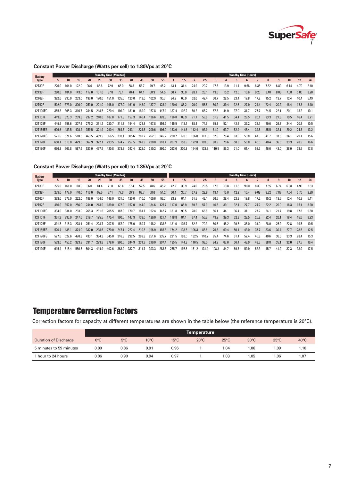

#### **Constant Power Discharge (Watts per cell) to 1.80Vpc at 20°C**

| <b>Battery</b> |       |       |       |       | <b>Standby Time (Minutes)</b> |       |       |       |       |       |       |       |       |              |       |       |      |      | <b>Standby Time (Hours)</b> |      |      |      |                 |      |      |
|----------------|-------|-------|-------|-------|-------------------------------|-------|-------|-------|-------|-------|-------|-------|-------|--------------|-------|-------|------|------|-----------------------------|------|------|------|-----------------|------|------|
| <b>Type</b>    | 5.    | 10    | 15    | 20    | 25                            | 30    | 35    | 40    | 45    | 50    | 55    |       | 1.5   | $\mathbf{2}$ | 2.5   | 3     | 4    | 5    | 6                           |      | 8    | 9    | 10 <sup>1</sup> | 12   | 24   |
| 12T30F         | 276.0 | 164.0 | 122.0 | 96.0  | 83.6                          | 72.9  | 65.0  | 58.8  | 53.7  | 49.7  | 46.2  | 43.1  | 31.4  | 24.9         | 20.7  | 17.8  | 13.9 | 11.4 | 9.66                        | 8.38 | 7.62 | 6.80 | 6.14            | 4.70 | 2.40 |
| 12T38F         | 280.0 | 184.0 | 143.0 | 117.0 | 101.0                         | 87.8  | 78.1  | 70.4  | 64.1  | 58.9  | 54.5  | 50.7  | 36.0  | 28.1         | 23.1  | 19.6  | 15.2 | 12.5 | 10.6                        | 9.26 | 8.48 | 8.03 | 7.68            | 5.80 | 3.20 |
| 12T62F         | 392.0 | 290.0 | 233.0 | 196.0 | 170.0                         | 151.0 | 135.0 | 123.0 | 113.0 | 102.9 | 95.7  | 84.9  | 65.0  | 52.0         | 42.4  | 36.7  | 28.5 | 23.4 | 19.8                        | 17.2 | 15.2 | 13.7 | 12.4            | 10.4 | 5.49 |
| 12T92F         | 502.0 | 373.0 | 300.0 | 253.0 | 221.0                         | 196.0 | 177.0 | 161.0 | 148.0 | 137.7 | 128.4 | 120.0 | 88.2  | 70.0         | 58.5  | 50.2  | 39.4 | 32.6 | 27.9                        | 24.4 | 22.4 | 20.2 | 18.4            | 15.3 | 8.40 |
| 12T100FC       | 365.3 | 365.3 | 316.7 | 284.5 | 248.5                         | 220.4 | 199.0 | 181.0 | 169.0 | 157.8 | 147.4 | 137.4 | 102.2 | 80.2         | 68.2  | 57.3  | 44.9 | 37.0 | 31.7                        | 27.7 | 24.5 | 22.7 | 20.1            | 18.2 | 10.1 |
| 12T101F        | 419.6 | 326.3 | 269.3 | 237.2 | 210.0                         | 187.8 | 171.3 | 157.3 | 146.4 | 136.6 | 128.3 | 126.8 | 88.9  | 71.1         | 59.8  | 51.9  | 41.5 | 34.4 | 29.5                        | 26.1 | 23.3 | 21.3 | 19.5            | 16.4 | 8.21 |
| 12T125F        | 449.9 | 358.6 | 307.6 | 275.2 | 251.2                         | 230.7 | 211.8 | 194.4 | 178.8 | 167.8 | 156.2 | 145.5 | 113.3 | 88.4         | 74.6  | 65.1  | 52.1 | 42.6 | 37.2                        | 33.1 | 29.6 | 26.8 | 24.4            | 20.8 | 10.5 |
| 12T155FS       | 606.6 | 483.5 | 408.2 | 359.5 | 321.9                         | 290.4 | 264.8 | 243.1 | 224.8 | 209.6 | 196.0 | 183.6 | 141.6 | 112.4        | 93.9  | 81.0  | 63.7 | 52.9 | 45.4                        | 39.8 | 35.5 | 32.1 | 29.2            | 24.8 | 13.2 |
| 12T170FS       | 571.6 | 571.6 | 510.8 | 463.5 | 409.5                         | 366.5 | 333.1 | 305.6 | 282.2 | 262.1 | 245.2 | 230.7 | 170.3 | 136.0        | 113.3 | 97.6  | 76.4 | 63.0 | 53.8                        | 47.0 | 41.7 | 37.5 | 34.1            | 29.1 | 15.6 |
| 12T170F        | 650.1 | 518.0 | 429.0 | 367.9 | 322.1                         | 293.5 | 274.2 | 257.5 | 242.9 | 230.0 | 218.4 | 207.9 | 153.9 | 122.8        | 103.0 | 88.9  | 70.6 | 58.8 | 50.8                        | 45.0 | 40.4 | 36.6 | 33.3            | 28.5 | 16.6 |
| 12T190F        | 666.8 | 666.8 | 587.6 | 533.0 | 467.5                         | 420.8 | 378.8 | 347.4 | 323.0 | 310.2 | 290.0 | 263.6 | 200.8 | 154.6        | 133.3 | 110.5 | 86.3 | 71.0 | 61.4                        | 53.7 | 46.6 | 43.0 | 38.0            | 33.5 | 17.8 |
|                |       |       |       |       |                               |       |       |       |       |       |       |       |       |              |       |       |      |      |                             |      |      |      |                 |      |      |

#### **Constant Power Discharge (Watts per cell) to 1.85Vpc at 20°C**

| <b>Battery</b> |       |       |       |       | <b>Standby Time (Minutes)</b> |       |       |       |       |       |       |       |       |                |       |       |      |      | <b>Standby Time (Hours)</b> |      |      |      |                  |                 |      |
|----------------|-------|-------|-------|-------|-------------------------------|-------|-------|-------|-------|-------|-------|-------|-------|----------------|-------|-------|------|------|-----------------------------|------|------|------|------------------|-----------------|------|
| <b>Type</b>    | 5.    | 10    | 15    | 20    | 25                            | 30    | 35    | 40    | 45    | 50    | 55    |       | 1.5   | $\overline{2}$ | 2.5   | 3     | 4    | 5    | 6                           |      | 8    | 9    | 10 <sup>10</sup> | 12 <sup>2</sup> | 24   |
| 12T30F         | 275.0 | 161.0 | 118.0 | 96.0  | 81.4                          | 71.0  | 63.4  | 57.4  | 52.5  | 48.6  | 45.2  | 42.2  | 30.9  | 24.6           | 20.5  | 17.6  | 13.8 | 11.3 | 9.60                        | 8.30 | 7.55 | 6.74 | 6.08             | 4.90            | 2.33 |
| 12T38F         | 279.0 | 177.0 | 140.0 | 116.0 | 99.6                          | 87.1  | 77.6  | 69.9  | 63.7  | 58.6  | 54.2  | 50.4  | 35.7  | 27.8           | 22.8  | 19.4  | 15.0 | 12.2 | 10.4                        | 9.08 | 8.32 | 7.88 | 7.54             | 5.70            | 3.20 |
| 12T62F         | 363.0 | 273.0 | 222.0 | 188.0 | 164.0                         | 146.0 | 131.0 | 120.0 | 110.0 | 100.6 | 93.7  | 83.2  | 64.1  | 51.5           | 42.1  | 36.5  | 28.4 | 23.3 | 19.8                        | 17.2 | 15.2 | 13.6 | 12.4             | 10.3            | 5.41 |
| 12T92F         | 466.0 | 352.0 | 286.0 | 244.0 | 213.0                         | 189.0 | 172.0 | 157.0 | 144.0 | 134.6 | 125.7 | 117.0 | 86.9  | 69.2           | 57.9  | 46.8  | 39.1 | 32.4 | 27.7                        | 24.2 | 22.2 | 20.0 | 18.3             | 15.1            | 8.20 |
| 12T100FC       | 334.0 | 334.0 | 293.0 | 265.3 | 231.6                         | 205.5 | 187.0 | 170.7 | 161.1 | 152.4 | 142.7 | 131.8 | 99.5  | 78.0           | 66.8  | 56.1  | 44.1 | 36.4 | 31.1                        | 27.2 | 24.1 | 21.7 | 19.8             | 17.8            | 9.80 |
| 12T101F        | 361.3 | 296.0 | 247.6 | 219.7 | 195.5                         | 175.4 | 160.6 | 147.9 | 138.0 | 129.0 | 121.4 | 118.8 | 84.1  | 67.4           | 56.7  | 49.2  | 39.3 | 32.8 | 28.5                        | 25.2 | 22.4 | 20.1 | 18.4             | 15.6            | 8.23 |
| 12T125F        | 391.5 | 318.3 | 278.1 | 251.4 | 228.7                         | 207.5 | 187.9 | 175.0 | 160.7 | 148.2 | 138.3 | 131.0 | 103.7 | 82.2           | 70.3  | 60.5  | 48.2 | 39.5 | 35.0                        | 31.0 | 28.0 | 25.2 | 22.8             | 19.5            | 10.5 |
| 12T155FS       | 520.4 | 438.1 | 374.0 | 332.0 | 298.6                         | 270.0 | 247.1 | 227.4 | 210.8 | 196.9 | 185.3 | 174.2 | 133.8 | 106.3          | 88.8  | 76.6  | 60.4 | 50.1 | 43.0                        | 37.7 | 33.6 | 30.4 | 27.7             | 23.5            | 12.5 |
| 12T170FS       | 527.6 | 527.6 | 470.3 | 433.1 | 384.3                         | 345.0 | 316.8 | 292.5 | 269.8 | 251.6 | 235.7 | 221.5 | 163.0 | 132.5          | 110.2 | 95.4  | 74.6 | 61.4 | 52.4                        | 45.8 | 40.6 | 36.6 | 33.3             | 28.4            | 15.3 |
| 12T170F        | 563.0 | 456.2 | 383.8 | 331.7 | 299.8                         | 278.6 | 260.5 | 244.9 | 231.3 | 219.0 | 207.4 | 195.5 | 144.8 | 116.5          | 98.0  | 84.9  | 67.6 | 56.4 | 48.9                        | 43.3 | 38.8 | 35.1 | 32.0             | 27.5            | 16.4 |
| 12T190F        | 615.4 | 615.4 | 550.8 | 504.3 | 444.9                         | 402.6 | 363.9 | 332.7 | 311.7 | 303.3 | 283.8 | 255.7 | 197.5 | 151.2          | 131.4 | 108.3 | 84.7 | 69.7 | 59.9                        | 52.3 | 45.7 | 41.9 | 37.3             | 33.0            | 17.5 |

# Temperature Correction Factors

Correction factors for capacity at different temperatures are shown in the table below (the reference temperature is 20°C).

|                         |               |               |                |                | Temperature    |                |                |                |                |
|-------------------------|---------------|---------------|----------------|----------------|----------------|----------------|----------------|----------------|----------------|
| Duration of Discharge   | $0^{\circ}$ C | $5^{\circ}$ C | $10^{\circ}$ C | $15^{\circ}$ C | $20^{\circ}$ C | $25^{\circ}$ C | $30^{\circ}$ C | $35^{\circ}$ C | $40^{\circ}$ C |
| 5 minutes to 59 minutes | 0.80          | 0.86          | 0.91           | 0.96           |                | 04. ا          | 1.06           | 1.09           | 1.10           |
| 1 hour to 24 hours      | 0.86          | 0.90          | 0.94           | 0.97           |                | .03            | 1.05           | 1.06           | 1.07           |